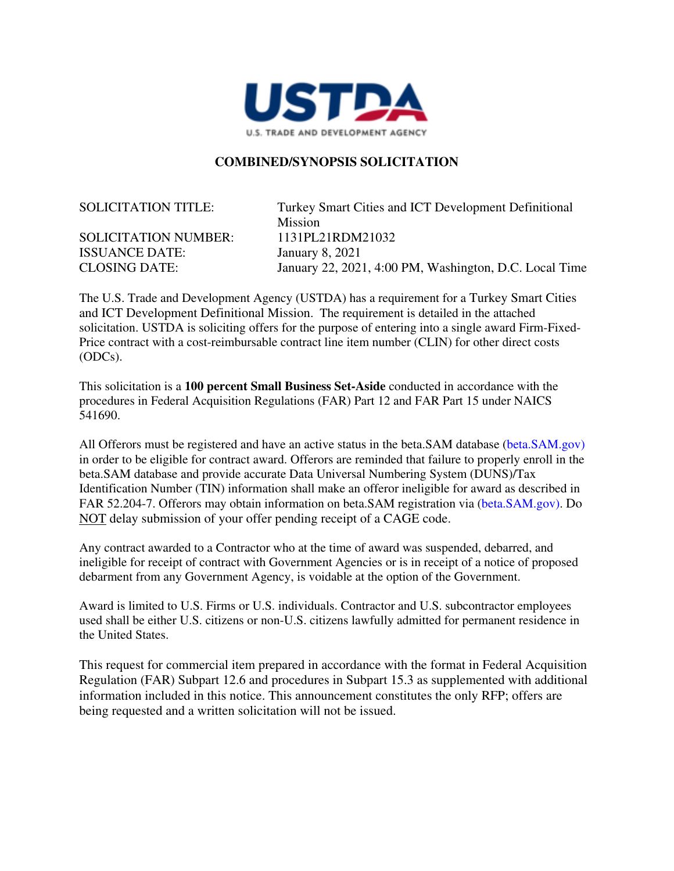

#### **COMBINED/SYNOPSIS SOLICITATION**

SOLICITATION NUMBER: 1131PL21RDM21032 ISSUANCE DATE: January 8, 2021

SOLICITATION TITLE: Turkey Smart Cities and ICT Development Definitional Mission CLOSING DATE: January 22, 2021, 4:00 PM, Washington, D.C. Local Time

The U.S. Trade and Development Agency (USTDA) has a requirement for a Turkey Smart Cities and ICT Development Definitional Mission. The requirement is detailed in the attached solicitation. USTDA is soliciting offers for the purpose of entering into a single award Firm-Fixed-Price contract with a cost-reimbursable contract line item number (CLIN) for other direct costs (ODCs).

This solicitation is a **100 percent Small Business Set-Aside** conducted in accordance with the procedures in Federal Acquisition Regulations (FAR) Part 12 and FAR Part 15 under NAICS 541690.

All Offerors must be registered and have an active status in the beta.SAM database (beta.SAM.gov) in order to be eligible for contract award. Offerors are reminded that failure to properly enroll in the beta.SAM database and provide accurate Data Universal Numbering System (DUNS)/Tax Identification Number (TIN) information shall make an offeror ineligible for award as described in FAR 52.204-7. Offerors may obtain information on beta.SAM registration via (beta.SAM.gov). Do NOT delay submission of your offer pending receipt of a CAGE code.

Any contract awarded to a Contractor who at the time of award was suspended, debarred, and ineligible for receipt of contract with Government Agencies or is in receipt of a notice of proposed debarment from any Government Agency, is voidable at the option of the Government.

Award is limited to U.S. Firms or U.S. individuals. Contractor and U.S. subcontractor employees used shall be either U.S. citizens or non-U.S. citizens lawfully admitted for permanent residence in the United States.

This request for commercial item prepared in accordance with the format in Federal Acquisition Regulation (FAR) Subpart 12.6 and procedures in Subpart 15.3 as supplemented with additional information included in this notice. This announcement constitutes the only RFP; offers are being requested and a written solicitation will not be issued.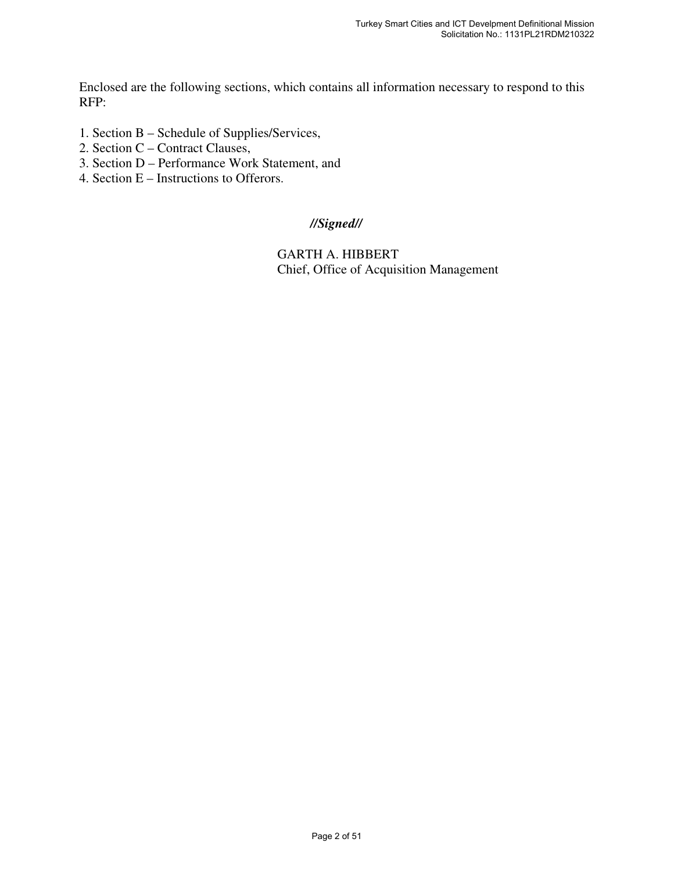Enclosed are the following sections, which contains all information necessary to respond to this RFP:

- 1. Section B Schedule of Supplies/Services,
- 2. Section C Contract Clauses,
- 3. Section D Performance Work Statement, and
- 4. Section E Instructions to Offerors.

#### *//Signed//*

GARTH A. HIBBERT Chief, Office of Acquisition Management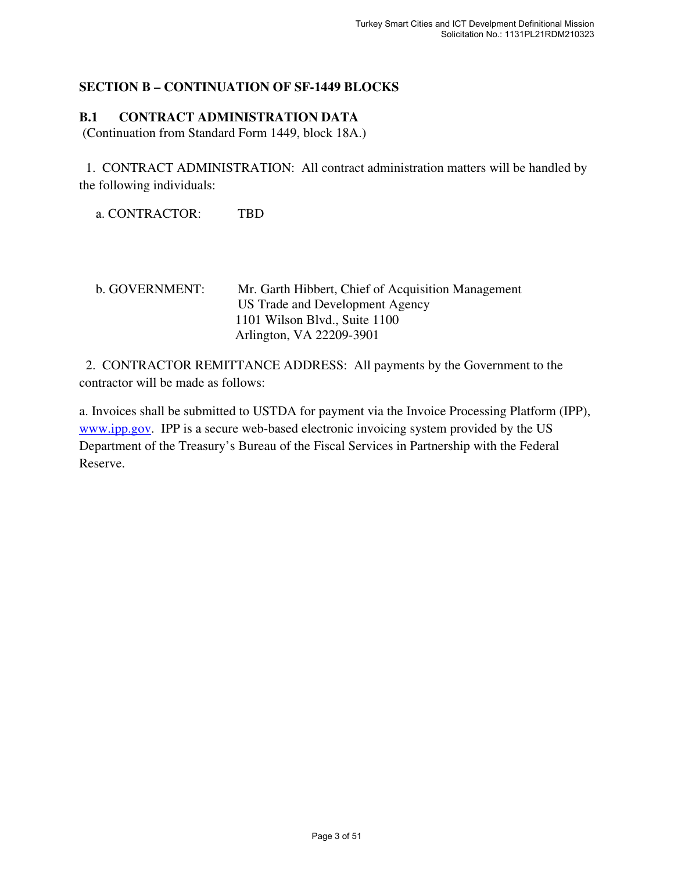# **SECTION B – CONTINUATION OF SF-1449 BLOCKS**

# **B.1 CONTRACT ADMINISTRATION DATA**

(Continuation from Standard Form 1449, block 18A.)

1. CONTRACT ADMINISTRATION: All contract administration matters will be handled by the following individuals:

a. CONTRACTOR: TBD

b. GOVERNMENT: Mr. Garth Hibbert, Chief of Acquisition Management US Trade and Development Agency 1101 Wilson Blvd., Suite 1100 Arlington, VA 22209-3901

2. CONTRACTOR REMITTANCE ADDRESS: All payments by the Government to the contractor will be made as follows:

a. Invoices shall be submitted to USTDA for payment via the Invoice Processing Platform (IPP), www.ipp.gov. IPP is a secure web-based electronic invoicing system provided by the US Department of the Treasury's Bureau of the Fiscal Services in Partnership with the Federal Reserve.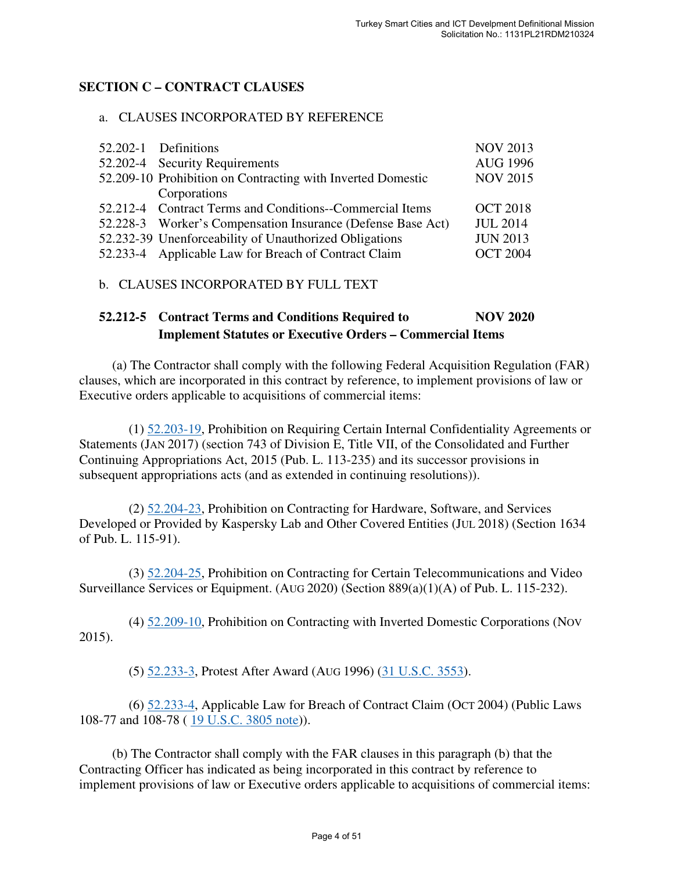# **SECTION C – CONTRACT CLAUSES**

#### a. CLAUSES INCORPORATED BY REFERENCE

| 52.202-1 Definitions                                        | <b>NOV 2013</b> |
|-------------------------------------------------------------|-----------------|
| 52.202-4 Security Requirements                              | <b>AUG 1996</b> |
| 52.209-10 Prohibition on Contracting with Inverted Domestic | <b>NOV 2015</b> |
| Corporations                                                |                 |
| 52.212-4 Contract Terms and Conditions--Commercial Items    | <b>OCT 2018</b> |
| 52.228-3 Worker's Compensation Insurance (Defense Base Act) | <b>JUL 2014</b> |
| 52.232-39 Unenforceability of Unauthorized Obligations      | <b>JUN 2013</b> |
| 52.233-4 Applicable Law for Breach of Contract Claim        | <b>OCT 2004</b> |
|                                                             |                 |

#### b. CLAUSES INCORPORATED BY FULL TEXT

# **52.212-5 Contract Terms and Conditions Required to NOV 2020 Implement Statutes or Executive Orders – Commercial Items**

 (a) The Contractor shall comply with the following Federal Acquisition Regulation (FAR) clauses, which are incorporated in this contract by reference, to implement provisions of law or Executive orders applicable to acquisitions of commercial items:

 (1) 52.203-19, Prohibition on Requiring Certain Internal Confidentiality Agreements or Statements (JAN 2017) (section 743 of Division E, Title VII, of the Consolidated and Further Continuing Appropriations Act, 2015 (Pub. L. 113-235) and its successor provisions in subsequent appropriations acts (and as extended in continuing resolutions)).

 (2) 52.204-23, Prohibition on Contracting for Hardware, Software, and Services Developed or Provided by Kaspersky Lab and Other Covered Entities (JUL 2018) (Section 1634 of Pub. L. 115-91).

 (3) 52.204-25, Prohibition on Contracting for Certain Telecommunications and Video Surveillance Services or Equipment. (AUG 2020) (Section 889(a)(1)(A) of Pub. L. 115-232).

 (4) 52.209-10, Prohibition on Contracting with Inverted Domestic Corporations (NOV 2015).

(5) 52.233-3, Protest After Award (AUG 1996) (31 U.S.C. 3553).

 (6) 52.233-4, Applicable Law for Breach of Contract Claim (OCT 2004) (Public Laws 108-77 and 108-78 ( 19 U.S.C. 3805 note)).

 (b) The Contractor shall comply with the FAR clauses in this paragraph (b) that the Contracting Officer has indicated as being incorporated in this contract by reference to implement provisions of law or Executive orders applicable to acquisitions of commercial items: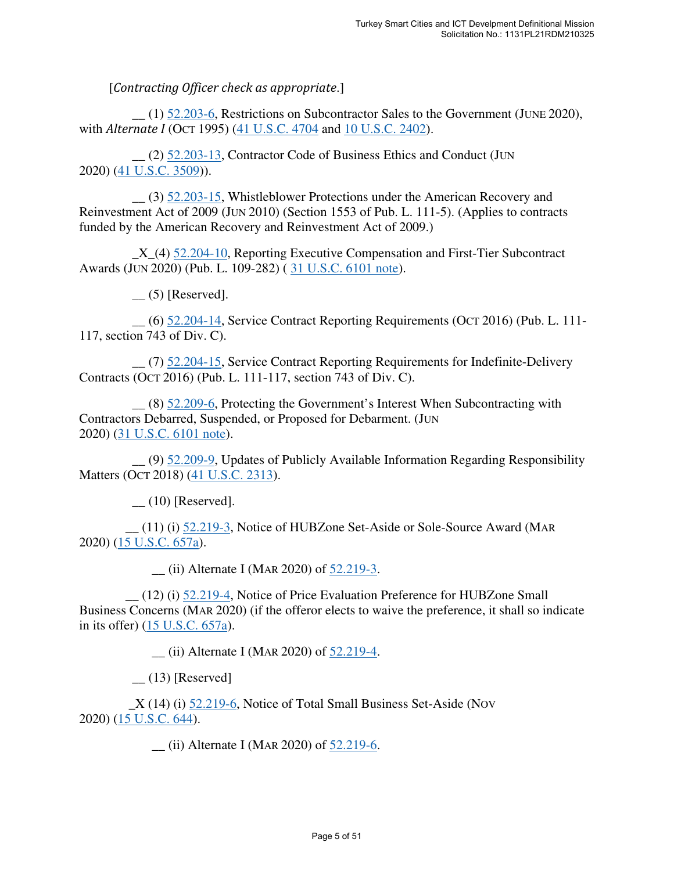[*Contracting Officer check as appropriate*.]

 $(1)$  52.203-6, Restrictions on Subcontractor Sales to the Government (JUNE 2020), with *Alternate I* (OCT 1995) (41 U.S.C. 4704 and 10 U.S.C. 2402).

 \_\_ (2) 52.203-13, Contractor Code of Business Ethics and Conduct (JUN 2020) (41 U.S.C. 3509)).

 \_\_ (3) 52.203-15, Whistleblower Protections under the American Recovery and Reinvestment Act of 2009 (JUN 2010) (Section 1553 of Pub. L. 111-5). (Applies to contracts funded by the American Recovery and Reinvestment Act of 2009.)

 \_X\_(4) 52.204-10, Reporting Executive Compensation and First-Tier Subcontract Awards (JUN 2020) (Pub. L. 109-282) ( 31 U.S.C. 6101 note).

 $\qquad$  (5) [Reserved].

 \_\_ (6) 52.204-14, Service Contract Reporting Requirements (OCT 2016) (Pub. L. 111- 117, section 743 of Div. C).

 \_\_ (7) 52.204-15, Service Contract Reporting Requirements for Indefinite-Delivery Contracts (OCT 2016) (Pub. L. 111-117, section 743 of Div. C).

 \_\_ (8) 52.209-6, Protecting the Government's Interest When Subcontracting with Contractors Debarred, Suspended, or Proposed for Debarment. (JUN 2020) (31 U.S.C. 6101 note).

 \_\_ (9) 52.209-9, Updates of Publicly Available Information Regarding Responsibility Matters (OCT 2018) (41 U.S.C. 2313).

 $(10)$  [Reserved].

 \_\_ (11) (i) 52.219-3, Notice of HUBZone Set-Aside or Sole-Source Award (MAR 2020) (15 U.S.C. 657a).

\_\_ (ii) Alternate I (MAR 2020) of 52.219-3.

 \_\_ (12) (i) 52.219-4, Notice of Price Evaluation Preference for HUBZone Small Business Concerns (MAR 2020) (if the offeror elects to waive the preference, it shall so indicate in its offer) (15 U.S.C. 657a).

\_\_ (ii) Alternate I (MAR 2020) of 52.219-4.

 $(13)$  [Reserved]

 \_X (14) (i) 52.219-6, Notice of Total Small Business Set-Aside (NOV 2020) (15 U.S.C. 644).

\_\_ (ii) Alternate I (MAR 2020) of 52.219-6.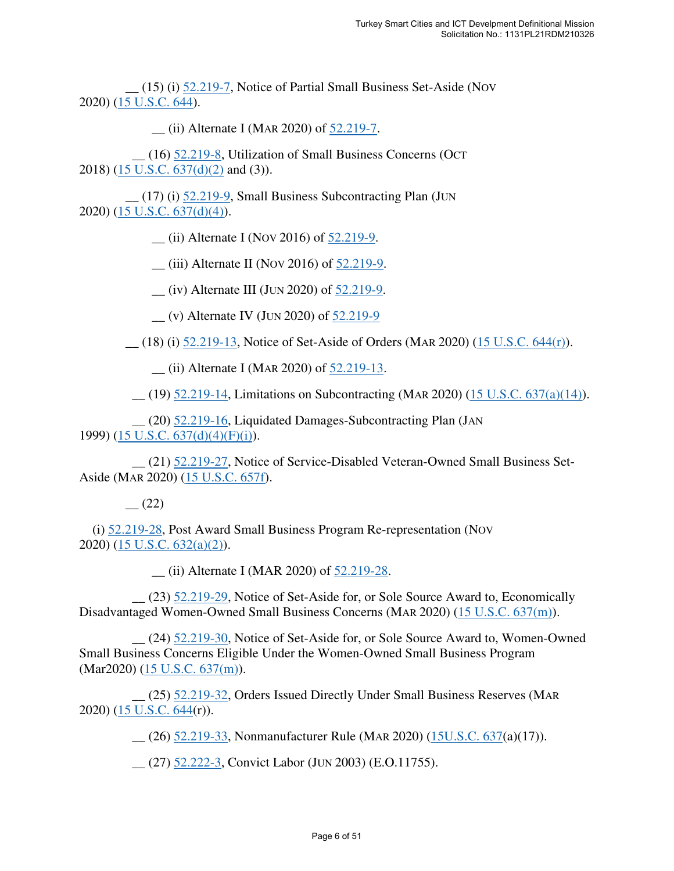\_\_ (15) (i) 52.219-7, Notice of Partial Small Business Set-Aside (NOV 2020) (15 U.S.C. 644).

\_\_ (ii) Alternate I (MAR 2020) of 52.219-7.

 \_\_ (16) 52.219-8, Utilization of Small Business Concerns (OCT 2018) (15 U.S.C. 637(d)(2) and (3)).

 \_\_ (17) (i) 52.219-9, Small Business Subcontracting Plan (JUN 2020) (15 U.S.C. 637(d)(4)).

\_\_ (ii) Alternate I (NOV 2016) of 52.219-9.

 $(iii)$  Alternate II (Nov 2016) of 52.219-9.

 $\frac{1}{2}$  (iv) Alternate III (JUN 2020) of  $\frac{52.219-9}{2}$ .

\_\_ (v) Alternate IV (JUN 2020) of 52.219-9

\_\_ (18) (i) 52.219-13, Notice of Set-Aside of Orders (MAR 2020) (15 U.S.C. 644(r)).

\_\_ (ii) Alternate I (MAR 2020) of 52.219-13.

 $(19)$  52.219-14, Limitations on Subcontracting (MAR 2020) (15 U.S.C. 637(a)(14)).

 \_\_ (20) 52.219-16, Liquidated Damages-Subcontracting Plan (JAN 1999) (15 U.S.C. 637(d)(4)(F)(i)).

 \_\_ (21) 52.219-27, Notice of Service-Disabled Veteran-Owned Small Business Set-Aside (MAR 2020) (15 U.S.C. 657f).

 $-$  (22)

(i) 52.219-28, Post Award Small Business Program Re-representation (NOV 2020) (15 U.S.C. 632(a)(2)).

\_\_ (ii) Alternate I (MAR 2020) of 52.219-28.

 \_\_ (23) 52.219-29, Notice of Set-Aside for, or Sole Source Award to, Economically Disadvantaged Women-Owned Small Business Concerns (MAR 2020) (15 U.S.C. 637(m)).

 \_\_ (24) 52.219-30, Notice of Set-Aside for, or Sole Source Award to, Women-Owned Small Business Concerns Eligible Under the Women-Owned Small Business Program (Mar2020) (15 U.S.C. 637(m)).

 \_\_ (25) 52.219-32, Orders Issued Directly Under Small Business Reserves (MAR 2020) (15 U.S.C. 644(r)).

\_\_ (26) 52.219-33, Nonmanufacturer Rule (MAR 2020) (15U.S.C. 637(a)(17)).

\_\_ (27) 52.222-3, Convict Labor (JUN 2003) (E.O.11755).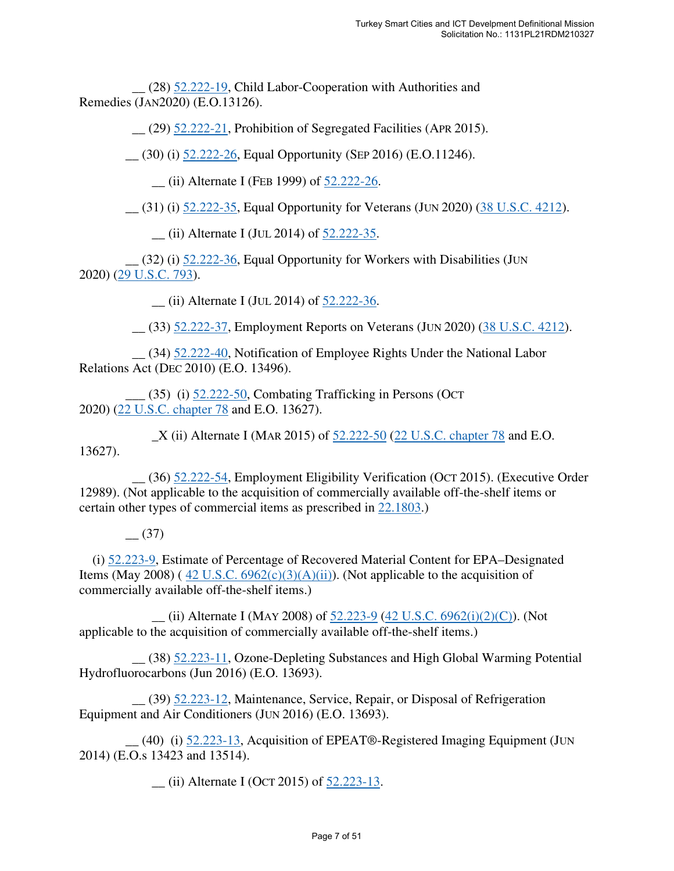\_\_ (28) 52.222-19, Child Labor-Cooperation with Authorities and Remedies (JAN2020) (E.O.13126).

 $(29)$  52.222-21, Prohibition of Segregated Facilities (APR 2015).

\_\_ (30) (i) 52.222-26, Equal Opportunity (SEP 2016) (E.O.11246).

\_\_ (ii) Alternate I (FEB 1999) of 52.222-26.

\_\_ (31) (i) 52.222-35, Equal Opportunity for Veterans (JUN 2020) (38 U.S.C. 4212).

\_\_ (ii) Alternate I (JUL 2014) of 52.222-35.

 \_\_ (32) (i) 52.222-36, Equal Opportunity for Workers with Disabilities (JUN 2020) (29 U.S.C. 793).

 $\frac{1}{2}$  (ii) Alternate I (JUL 2014) of  $\frac{52.222-36}{2}$ .

\_\_ (33) 52.222-37, Employment Reports on Veterans (JUN 2020) (38 U.S.C. 4212).

 \_\_ (34) 52.222-40, Notification of Employee Rights Under the National Labor Relations Act (DEC 2010) (E.O. 13496).

 \_\_\_ (35) (i) 52.222-50, Combating Trafficking in Persons (OCT 2020) (22 U.S.C. chapter 78 and E.O. 13627).

 $X$  (ii) Alternate I (MAR 2015) of  $52.222-50$  (22 U.S.C. chapter 78 and E.O. 13627).

 \_\_ (36) 52.222-54, Employment Eligibility Verification (OCT 2015). (Executive Order 12989). (Not applicable to the acquisition of commercially available off-the-shelf items or certain other types of commercial items as prescribed in 22.1803.)

 $(37)$ 

(i) 52.223-9, Estimate of Percentage of Recovered Material Content for EPA–Designated Items (May 2008) (42 U.S.C.  $6962(c)(3)(A)(ii)$ ). (Not applicable to the acquisition of commercially available off-the-shelf items.)

 $\mu$  (ii) Alternate I (MAY 2008) of 52.223-9 (42 U.S.C. 6962(i)(2)(C)). (Not applicable to the acquisition of commercially available off-the-shelf items.)

 \_\_ (38) 52.223-11, Ozone-Depleting Substances and High Global Warming Potential Hydrofluorocarbons (Jun 2016) (E.O. 13693).

 \_\_ (39) 52.223-12, Maintenance, Service, Repair, or Disposal of Refrigeration Equipment and Air Conditioners (JUN 2016) (E.O. 13693).

 \_\_ (40) (i) 52.223-13, Acquisition of EPEAT®-Registered Imaging Equipment (JUN 2014) (E.O.s 13423 and 13514).

\_\_ (ii) Alternate I (OCT 2015) of 52.223-13.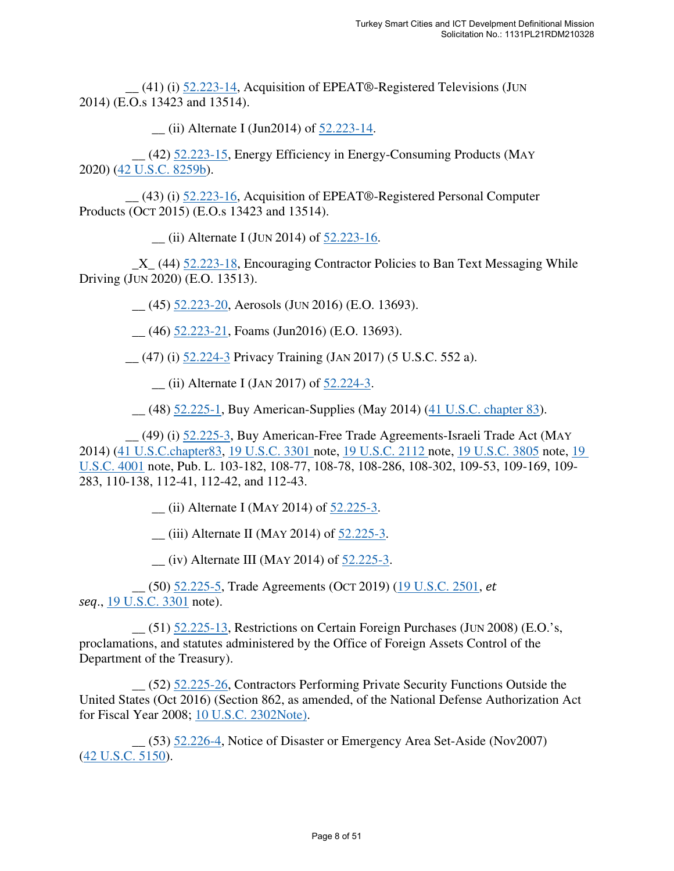\_\_ (41) (i) 52.223-14, Acquisition of EPEAT®-Registered Televisions (JUN 2014) (E.O.s 13423 and 13514).

\_\_ (ii) Alternate I (Jun2014) of 52.223-14.

 \_\_ (42) 52.223-15, Energy Efficiency in Energy-Consuming Products (MAY 2020) (42 U.S.C. 8259b).

 \_\_ (43) (i) 52.223-16, Acquisition of EPEAT®-Registered Personal Computer Products (OCT 2015) (E.O.s 13423 and 13514).

\_\_ (ii) Alternate I (JUN 2014) of 52.223-16.

 \_X\_ (44) 52.223-18, Encouraging Contractor Policies to Ban Text Messaging While Driving (JUN 2020) (E.O. 13513).

\_\_ (45) 52.223-20, Aerosols (JUN 2016) (E.O. 13693).

 $(46)$  52.223-21, Foams (Jun2016) (E.O. 13693).

\_\_ (47) (i) 52.224-3 Privacy Training (JAN 2017) (5 U.S.C. 552 a).

\_\_ (ii) Alternate I (JAN 2017) of 52.224-3.

\_\_ (48) 52.225-1, Buy American-Supplies (May 2014) (41 U.S.C. chapter 83).

 \_\_ (49) (i) 52.225-3, Buy American-Free Trade Agreements-Israeli Trade Act (MAY 2014) (41 U.S.C.chapter83, 19 U.S.C. 3301 note, 19 U.S.C. 2112 note, 19 U.S.C. 3805 note, 19 U.S.C. 4001 note, Pub. L. 103-182, 108-77, 108-78, 108-286, 108-302, 109-53, 109-169, 109- 283, 110-138, 112-41, 112-42, and 112-43.

 $\frac{1}{2}$  (ii) Alternate I (MAY 2014) of  $\frac{52.225-3}{2}$ .

 $(iii)$  Alternate II (MAY 2014) of 52.225-3.

 $(iv)$  Alternate III (MAY 2014) of 52.225-3.

 \_\_ (50) 52.225-5, Trade Agreements (OCT 2019) (19 U.S.C. 2501, *et seq*., 19 U.S.C. 3301 note).

 $(51)$  52.225-13, Restrictions on Certain Foreign Purchases (JUN 2008) (E.O.'s, proclamations, and statutes administered by the Office of Foreign Assets Control of the Department of the Treasury).

 \_\_ (52) 52.225-26, Contractors Performing Private Security Functions Outside the United States (Oct 2016) (Section 862, as amended, of the National Defense Authorization Act for Fiscal Year 2008; 10 U.S.C. 2302Note).

 \_\_ (53) 52.226-4, Notice of Disaster or Emergency Area Set-Aside (Nov2007) (42 U.S.C. 5150).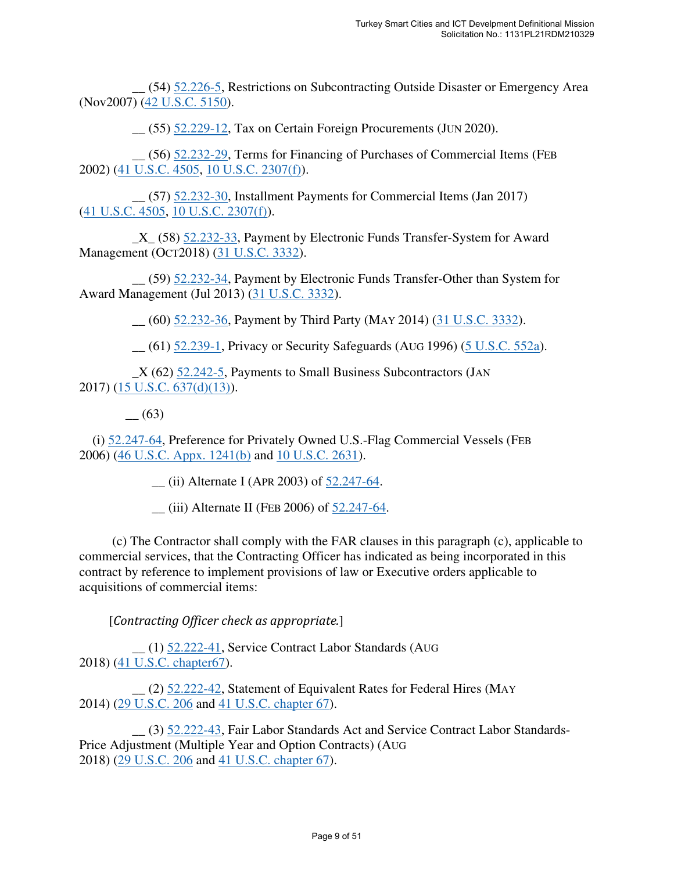\_\_ (54) 52.226-5, Restrictions on Subcontracting Outside Disaster or Emergency Area (Nov2007) (42 U.S.C. 5150).

\_\_ (55) 52.229-12, Tax on Certain Foreign Procurements (JUN 2020).

 \_\_ (56) 52.232-29, Terms for Financing of Purchases of Commercial Items (FEB 2002) (41 U.S.C. 4505, 10 U.S.C. 2307(f)).

 \_\_ (57) 52.232-30, Installment Payments for Commercial Items (Jan 2017) (41 U.S.C. 4505, 10 U.S.C. 2307(f)).

 \_X\_ (58) 52.232-33, Payment by Electronic Funds Transfer-System for Award Management (OCT2018) (31 U.S.C. 3332).

 \_\_ (59) 52.232-34, Payment by Electronic Funds Transfer-Other than System for Award Management (Jul 2013) (31 U.S.C. 3332).

\_\_ (60) 52.232-36, Payment by Third Party (MAY 2014) (31 U.S.C. 3332).

\_\_ (61) 52.239-1, Privacy or Security Safeguards (AUG 1996) (5 U.S.C. 552a).

 $X(62)$  52.242-5, Payments to Small Business Subcontractors (JAN 2017) (15 U.S.C. 637(d)(13)).

\_\_ (63)

(i) 52.247-64, Preference for Privately Owned U.S.-Flag Commercial Vessels (FEB 2006) (46 U.S.C. Appx. 1241(b) and 10 U.S.C. 2631).

 $\frac{1}{2}$  (ii) Alternate I (APR 2003) of  $\frac{52.247-64}{2}$ .

 $\frac{1}{2}$  (iii) Alternate II (FEB 2006) of  $\frac{52.247-64}{2}$ .

 (c) The Contractor shall comply with the FAR clauses in this paragraph (c), applicable to commercial services, that the Contracting Officer has indicated as being incorporated in this contract by reference to implement provisions of law or Executive orders applicable to acquisitions of commercial items:

[*Contracting Officer check as appropriate.*]

 \_\_ (1) 52.222-41, Service Contract Labor Standards (AUG 2018) (41 U.S.C. chapter67).

 \_\_ (2) 52.222-42, Statement of Equivalent Rates for Federal Hires (MAY 2014) (29 U.S.C. 206 and 41 U.S.C. chapter 67).

 \_\_ (3) 52.222-43, Fair Labor Standards Act and Service Contract Labor Standards-Price Adjustment (Multiple Year and Option Contracts) (AUG 2018) (29 U.S.C. 206 and 41 U.S.C. chapter 67).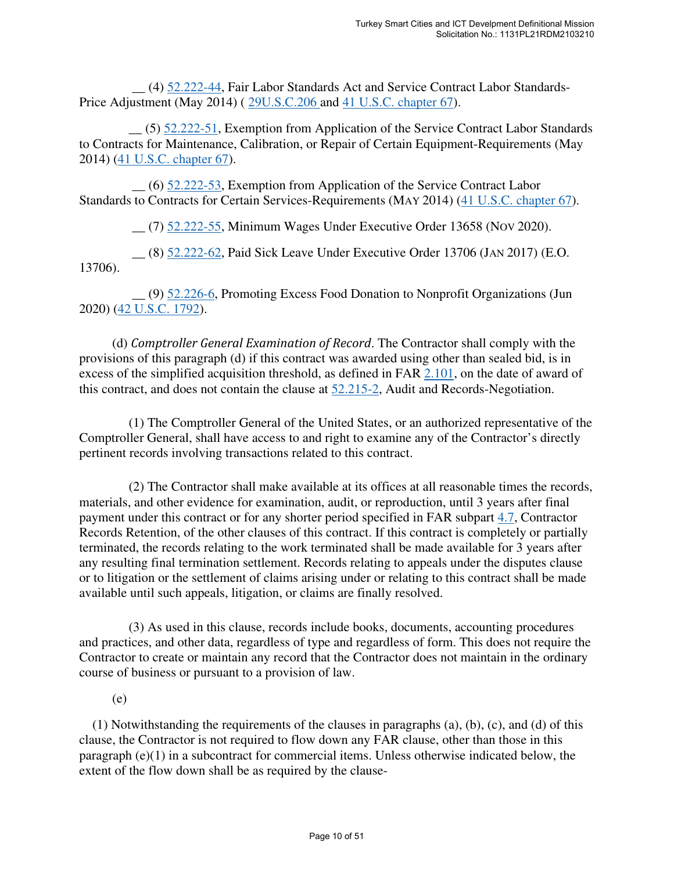\_\_ (4) 52.222-44, Fair Labor Standards Act and Service Contract Labor Standards-Price Adjustment (May 2014) ( 29U.S.C.206 and 41 U.S.C. chapter 67).

 \_\_ (5) 52.222-51, Exemption from Application of the Service Contract Labor Standards to Contracts for Maintenance, Calibration, or Repair of Certain Equipment-Requirements (May 2014) (41 U.S.C. chapter 67).

 \_\_ (6) 52.222-53, Exemption from Application of the Service Contract Labor Standards to Contracts for Certain Services-Requirements (MAY 2014) (41 U.S.C. chapter 67).

\_\_ (7) 52.222-55, Minimum Wages Under Executive Order 13658 (NOV 2020).

 \_\_ (8) 52.222-62, Paid Sick Leave Under Executive Order 13706 (JAN 2017) (E.O. 13706).

 \_\_ (9) 52.226-6, Promoting Excess Food Donation to Nonprofit Organizations (Jun 2020) (42 U.S.C. 1792).

 (d) *Comptroller General Examination of Record*. The Contractor shall comply with the provisions of this paragraph (d) if this contract was awarded using other than sealed bid, is in excess of the simplified acquisition threshold, as defined in FAR 2.101, on the date of award of this contract, and does not contain the clause at 52.215-2, Audit and Records-Negotiation.

 (1) The Comptroller General of the United States, or an authorized representative of the Comptroller General, shall have access to and right to examine any of the Contractor's directly pertinent records involving transactions related to this contract.

 (2) The Contractor shall make available at its offices at all reasonable times the records, materials, and other evidence for examination, audit, or reproduction, until 3 years after final payment under this contract or for any shorter period specified in FAR subpart 4.7, Contractor Records Retention, of the other clauses of this contract. If this contract is completely or partially terminated, the records relating to the work terminated shall be made available for 3 years after any resulting final termination settlement. Records relating to appeals under the disputes clause or to litigation or the settlement of claims arising under or relating to this contract shall be made available until such appeals, litigation, or claims are finally resolved.

 (3) As used in this clause, records include books, documents, accounting procedures and practices, and other data, regardless of type and regardless of form. This does not require the Contractor to create or maintain any record that the Contractor does not maintain in the ordinary course of business or pursuant to a provision of law.

(e)

(1) Notwithstanding the requirements of the clauses in paragraphs (a), (b), (c), and (d) of this clause, the Contractor is not required to flow down any FAR clause, other than those in this paragraph (e)(1) in a subcontract for commercial items. Unless otherwise indicated below, the extent of the flow down shall be as required by the clause-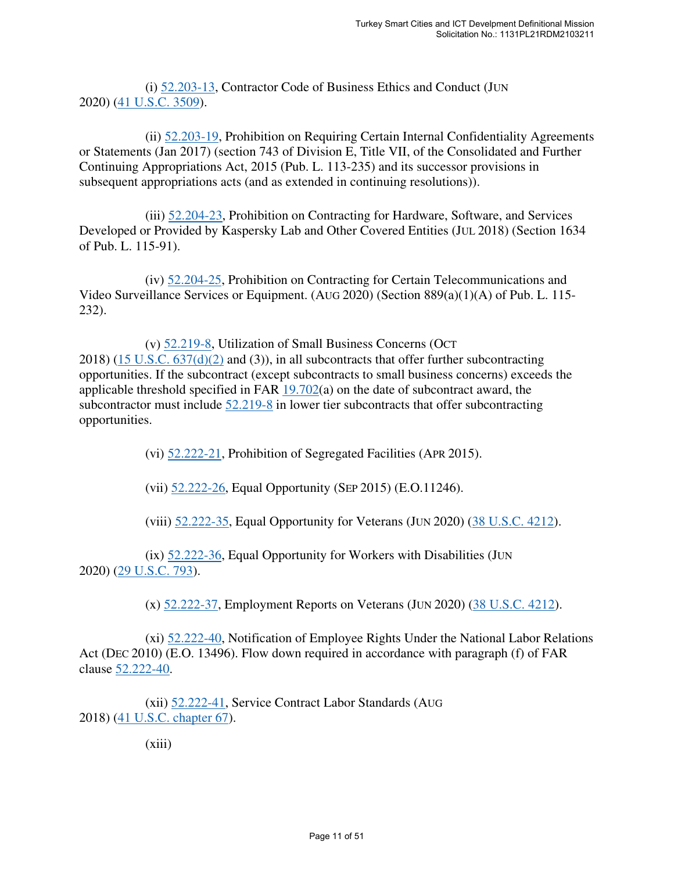(i) 52.203-13, Contractor Code of Business Ethics and Conduct (JUN 2020) (41 U.S.C. 3509).

 (ii) 52.203-19, Prohibition on Requiring Certain Internal Confidentiality Agreements or Statements (Jan 2017) (section 743 of Division E, Title VII, of the Consolidated and Further Continuing Appropriations Act, 2015 (Pub. L. 113-235) and its successor provisions in subsequent appropriations acts (and as extended in continuing resolutions)).

 (iii) 52.204-23, Prohibition on Contracting for Hardware, Software, and Services Developed or Provided by Kaspersky Lab and Other Covered Entities (JUL 2018) (Section 1634 of Pub. L. 115-91).

 (iv) 52.204-25, Prohibition on Contracting for Certain Telecommunications and Video Surveillance Services or Equipment. (AUG 2020) (Section 889(a)(1)(A) of Pub. L. 115- 232).

 (v) 52.219-8, Utilization of Small Business Concerns (OCT 2018) (15 U.S.C. 637(d)(2) and (3)), in all subcontracts that offer further subcontracting opportunities. If the subcontract (except subcontracts to small business concerns) exceeds the applicable threshold specified in FAR 19.702(a) on the date of subcontract award, the subcontractor must include  $52.219-8$  in lower tier subcontracts that offer subcontracting opportunities.

(vi) 52.222-21, Prohibition of Segregated Facilities (APR 2015).

(vii) 52.222-26, Equal Opportunity (SEP 2015) (E.O.11246).

(viii) 52.222-35, Equal Opportunity for Veterans (JUN 2020) (38 U.S.C. 4212).

 $(ix)$  52.222-36, Equal Opportunity for Workers with Disabilities (JUN 2020) (29 U.S.C. 793).

(x) 52.222-37, Employment Reports on Veterans (JUN 2020) (38 U.S.C. 4212).

 (xi) 52.222-40, Notification of Employee Rights Under the National Labor Relations Act (DEC 2010) (E.O. 13496). Flow down required in accordance with paragraph (f) of FAR clause 52.222-40.

 (xii) 52.222-41, Service Contract Labor Standards (AUG 2018) (41 U.S.C. chapter 67).

 $(xiii)$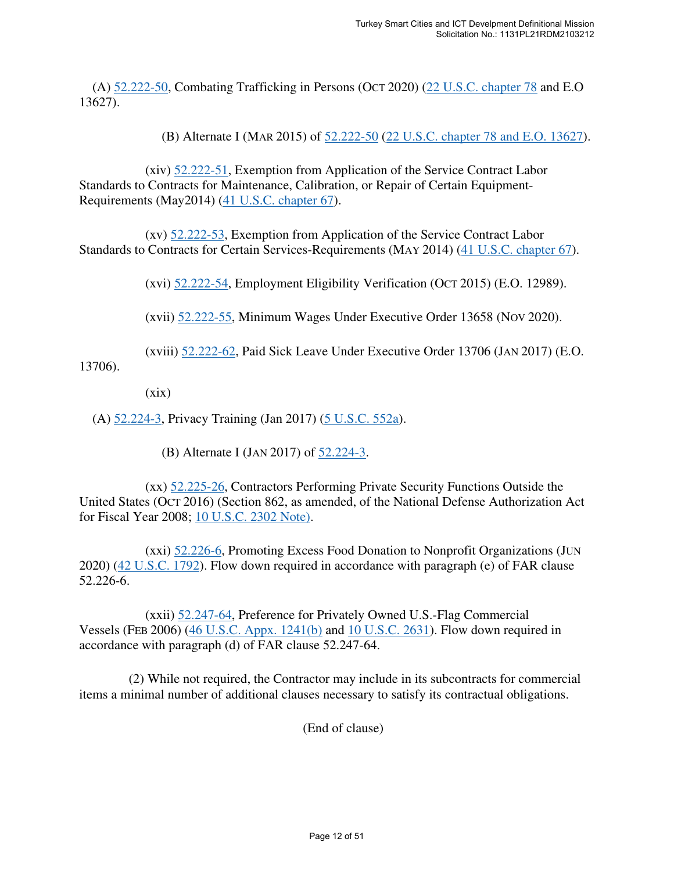(A)  $52.222 - 50$ , Combating Trafficking in Persons (OCT 2020) ( $22$  U.S.C. chapter 78 and E.O 13627).

(B) Alternate I (MAR 2015) of 52.222-50 (22 U.S.C. chapter 78 and E.O. 13627).

 (xiv) 52.222-51, Exemption from Application of the Service Contract Labor Standards to Contracts for Maintenance, Calibration, or Repair of Certain Equipment-Requirements (May2014) (41 U.S.C. chapter 67).

 (xv) 52.222-53, Exemption from Application of the Service Contract Labor Standards to Contracts for Certain Services-Requirements (MAY 2014) (41 U.S.C. chapter 67).

(xvi)  $52.222-54$ , Employment Eligibility Verification (OCT 2015) (E.O. 12989).

(xvii) 52.222-55, Minimum Wages Under Executive Order 13658 (NOV 2020).

(xviii) 52.222-62, Paid Sick Leave Under Executive Order 13706 (JAN 2017) (E.O.

13706).

 $(xix)$ 

(A) 52.224-3, Privacy Training (Jan 2017) (5 U.S.C. 552a).

(B) Alternate I (JAN 2017) of 52.224-3.

 (xx) 52.225-26, Contractors Performing Private Security Functions Outside the United States (OCT 2016) (Section 862, as amended, of the National Defense Authorization Act for Fiscal Year 2008; 10 U.S.C. 2302 Note).

 (xxi) 52.226-6, Promoting Excess Food Donation to Nonprofit Organizations (JUN 2020) (42 U.S.C. 1792). Flow down required in accordance with paragraph (e) of FAR clause 52.226-6.

 (xxii) 52.247-64, Preference for Privately Owned U.S.-Flag Commercial Vessels (FEB 2006) (46 U.S.C. Appx. 1241(b) and 10 U.S.C. 2631). Flow down required in accordance with paragraph (d) of FAR clause 52.247-64.

 (2) While not required, the Contractor may include in its subcontracts for commercial items a minimal number of additional clauses necessary to satisfy its contractual obligations.

(End of clause)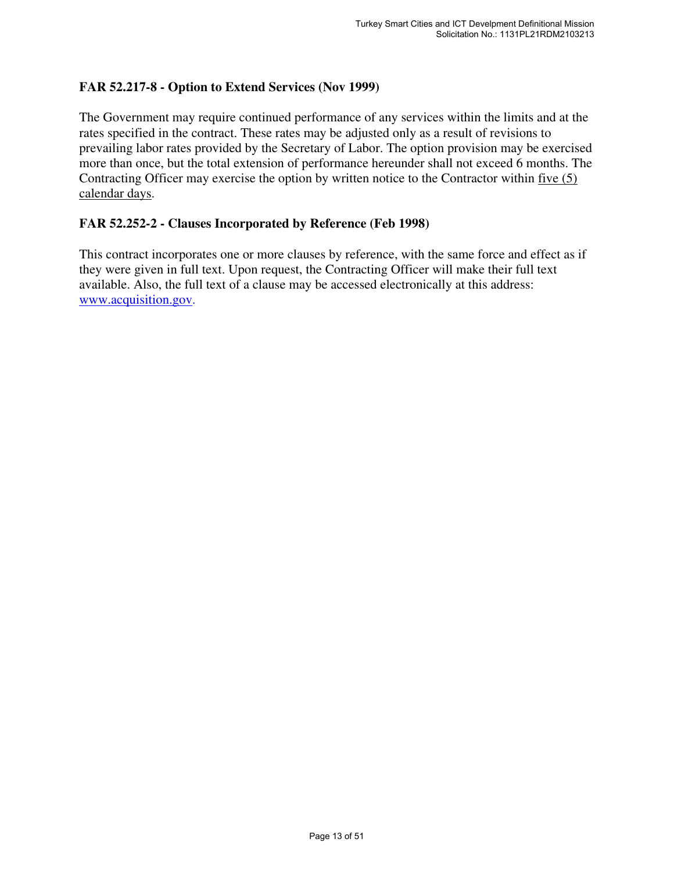# **FAR 52.217-8 - Option to Extend Services (Nov 1999)**

The Government may require continued performance of any services within the limits and at the rates specified in the contract. These rates may be adjusted only as a result of revisions to prevailing labor rates provided by the Secretary of Labor. The option provision may be exercised more than once, but the total extension of performance hereunder shall not exceed 6 months. The Contracting Officer may exercise the option by written notice to the Contractor within five (5) calendar days.

#### **FAR 52.252-2 - Clauses Incorporated by Reference (Feb 1998)**

This contract incorporates one or more clauses by reference, with the same force and effect as if they were given in full text. Upon request, the Contracting Officer will make their full text available. Also, the full text of a clause may be accessed electronically at this address: www.acquisition.gov.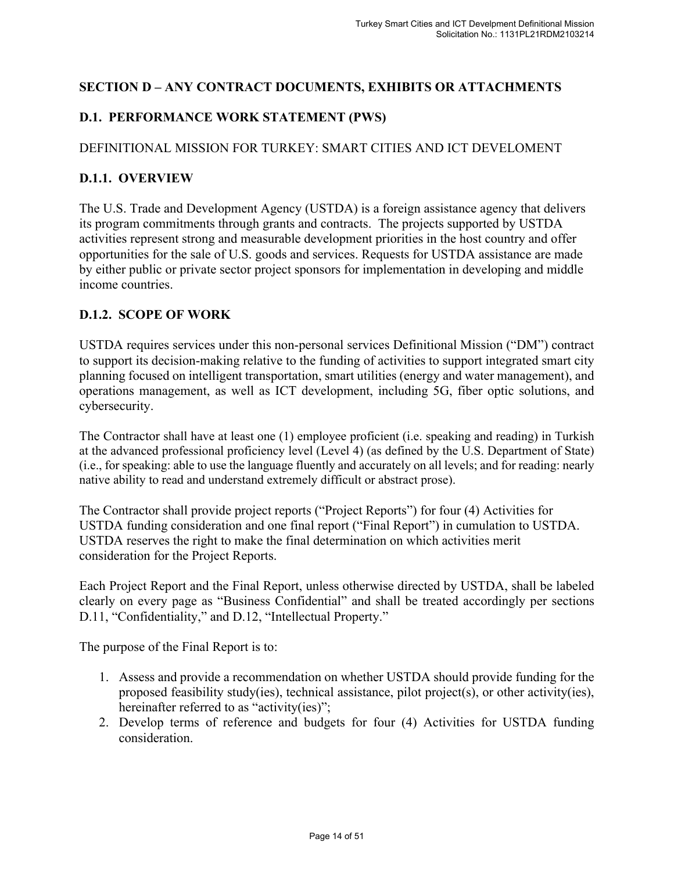# **SECTION D – ANY CONTRACT DOCUMENTS, EXHIBITS OR ATTACHMENTS**

# **D.1. PERFORMANCE WORK STATEMENT (PWS)**

# DEFINITIONAL MISSION FOR TURKEY: SMART CITIES AND ICT DEVELOMENT

# **D.1.1. OVERVIEW**

The U.S. Trade and Development Agency (USTDA) is a foreign assistance agency that delivers its program commitments through grants and contracts. The projects supported by USTDA activities represent strong and measurable development priorities in the host country and offer opportunities for the sale of U.S. goods and services. Requests for USTDA assistance are made by either public or private sector project sponsors for implementation in developing and middle income countries.

# **D.1.2. SCOPE OF WORK**

USTDA requires services under this non-personal services Definitional Mission ("DM") contract to support its decision-making relative to the funding of activities to support integrated smart city planning focused on intelligent transportation, smart utilities (energy and water management), and operations management, as well as ICT development, including 5G, fiber optic solutions, and cybersecurity.

The Contractor shall have at least one (1) employee proficient (i.e. speaking and reading) in Turkish at the advanced professional proficiency level (Level 4) (as defined by the U.S. Department of State) (i.e., for speaking: able to use the language fluently and accurately on all levels; and for reading: nearly native ability to read and understand extremely difficult or abstract prose).

The Contractor shall provide project reports ("Project Reports") for four (4) Activities for USTDA funding consideration and one final report ("Final Report") in cumulation to USTDA. USTDA reserves the right to make the final determination on which activities merit consideration for the Project Reports.

Each Project Report and the Final Report, unless otherwise directed by USTDA, shall be labeled clearly on every page as "Business Confidential" and shall be treated accordingly per sections D.11, "Confidentiality," and D.12, "Intellectual Property."

The purpose of the Final Report is to:

- 1. Assess and provide a recommendation on whether USTDA should provide funding for the proposed feasibility study(ies), technical assistance, pilot project(s), or other activity(ies), hereinafter referred to as "activity(ies)";
- 2. Develop terms of reference and budgets for four (4) Activities for USTDA funding consideration.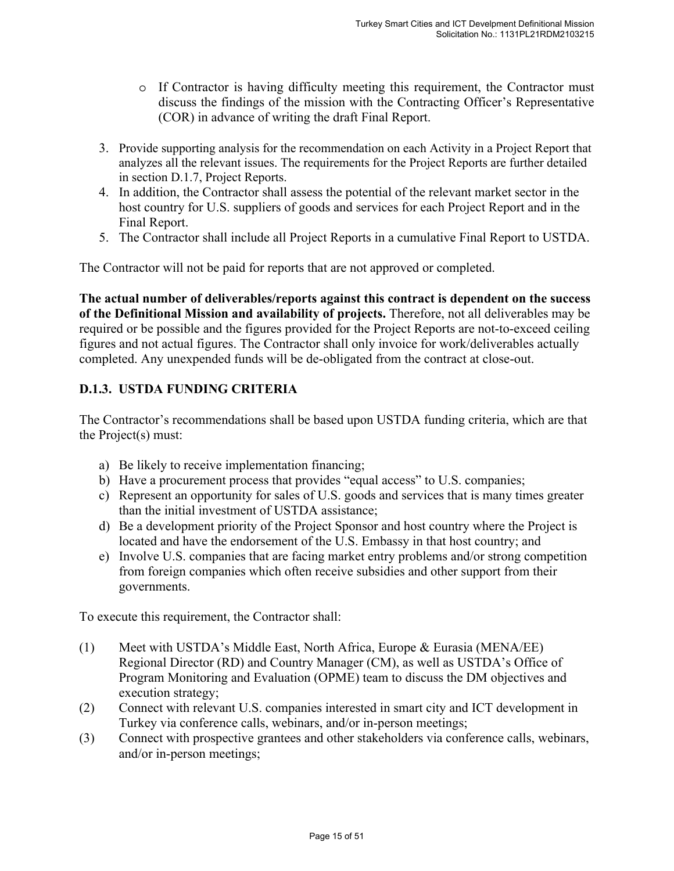- o If Contractor is having difficulty meeting this requirement, the Contractor must discuss the findings of the mission with the Contracting Officer's Representative (COR) in advance of writing the draft Final Report.
- 3. Provide supporting analysis for the recommendation on each Activity in a Project Report that analyzes all the relevant issues. The requirements for the Project Reports are further detailed in section D.1.7, Project Reports.
- 4. In addition, the Contractor shall assess the potential of the relevant market sector in the host country for U.S. suppliers of goods and services for each Project Report and in the Final Report.
- 5. The Contractor shall include all Project Reports in a cumulative Final Report to USTDA.

The Contractor will not be paid for reports that are not approved or completed.

**The actual number of deliverables/reports against this contract is dependent on the success of the Definitional Mission and availability of projects.** Therefore, not all deliverables may be required or be possible and the figures provided for the Project Reports are not-to-exceed ceiling figures and not actual figures. The Contractor shall only invoice for work/deliverables actually completed. Any unexpended funds will be de-obligated from the contract at close-out.

# **D.1.3. USTDA FUNDING CRITERIA**

The Contractor's recommendations shall be based upon USTDA funding criteria, which are that the Project(s) must:

- a) Be likely to receive implementation financing;
- b) Have a procurement process that provides "equal access" to U.S. companies;
- c) Represent an opportunity for sales of U.S. goods and services that is many times greater than the initial investment of USTDA assistance;
- d) Be a development priority of the Project Sponsor and host country where the Project is located and have the endorsement of the U.S. Embassy in that host country; and
- e) Involve U.S. companies that are facing market entry problems and/or strong competition from foreign companies which often receive subsidies and other support from their governments.

To execute this requirement, the Contractor shall:

- (1) Meet with USTDA's Middle East, North Africa, Europe & Eurasia (MENA/EE) Regional Director (RD) and Country Manager (CM), as well as USTDA's Office of Program Monitoring and Evaluation (OPME) team to discuss the DM objectives and execution strategy;
- (2) Connect with relevant U.S. companies interested in smart city and ICT development in Turkey via conference calls, webinars, and/or in-person meetings;
- (3) Connect with prospective grantees and other stakeholders via conference calls, webinars, and/or in-person meetings;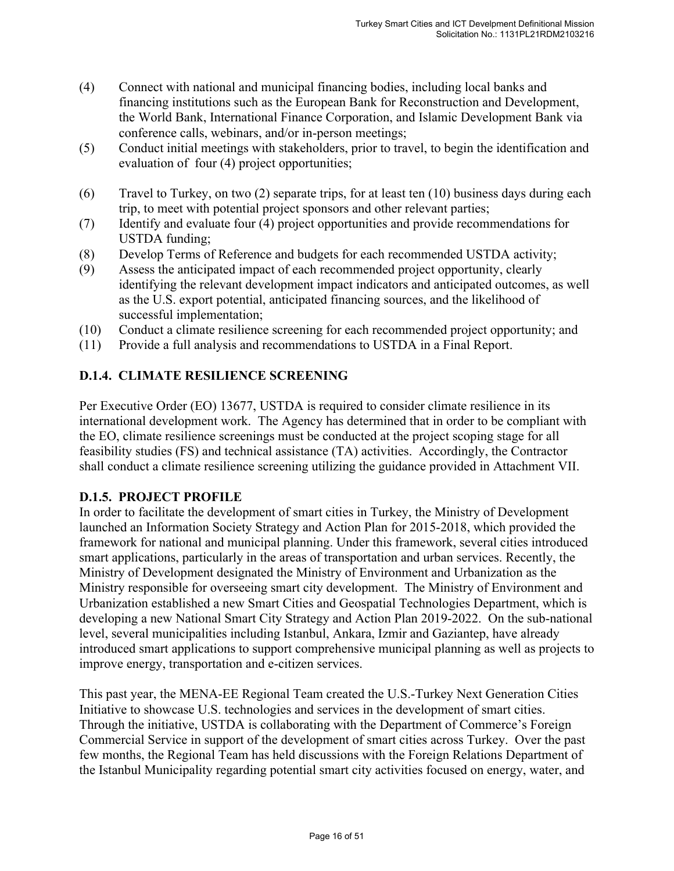- (4) Connect with national and municipal financing bodies, including local banks and financing institutions such as the European Bank for Reconstruction and Development, the World Bank, International Finance Corporation, and Islamic Development Bank via conference calls, webinars, and/or in-person meetings;
- (5) Conduct initial meetings with stakeholders, prior to travel, to begin the identification and evaluation of four (4) project opportunities;
- (6) Travel to Turkey, on two (2) separate trips, for at least ten (10) business days during each trip, to meet with potential project sponsors and other relevant parties;
- (7) Identify and evaluate four (4) project opportunities and provide recommendations for USTDA funding;
- (8) Develop Terms of Reference and budgets for each recommended USTDA activity;
- (9) Assess the anticipated impact of each recommended project opportunity, clearly identifying the relevant development impact indicators and anticipated outcomes, as well as the U.S. export potential, anticipated financing sources, and the likelihood of successful implementation;
- (10) Conduct a climate resilience screening for each recommended project opportunity; and
- (11) Provide a full analysis and recommendations to USTDA in a Final Report.

# **D.1.4. CLIMATE RESILIENCE SCREENING**

Per Executive Order (EO) 13677, USTDA is required to consider climate resilience in its international development work. The Agency has determined that in order to be compliant with the EO, climate resilience screenings must be conducted at the project scoping stage for all feasibility studies (FS) and technical assistance (TA) activities. Accordingly, the Contractor shall conduct a climate resilience screening utilizing the guidance provided in Attachment VII.

# **D.1.5. PROJECT PROFILE**

In order to facilitate the development of smart cities in Turkey, the Ministry of Development launched an Information Society Strategy and Action Plan for 2015-2018, which provided the framework for national and municipal planning. Under this framework, several cities introduced smart applications, particularly in the areas of transportation and urban services. Recently, the Ministry of Development designated the Ministry of Environment and Urbanization as the Ministry responsible for overseeing smart city development. The Ministry of Environment and Urbanization established a new Smart Cities and Geospatial Technologies Department, which is developing a new National Smart City Strategy and Action Plan 2019-2022. On the sub-national level, several municipalities including Istanbul, Ankara, Izmir and Gaziantep, have already introduced smart applications to support comprehensive municipal planning as well as projects to improve energy, transportation and e-citizen services.

This past year, the MENA-EE Regional Team created the U.S.-Turkey Next Generation Cities Initiative to showcase U.S. technologies and services in the development of smart cities. Through the initiative, USTDA is collaborating with the Department of Commerce's Foreign Commercial Service in support of the development of smart cities across Turkey. Over the past few months, the Regional Team has held discussions with the Foreign Relations Department of the Istanbul Municipality regarding potential smart city activities focused on energy, water, and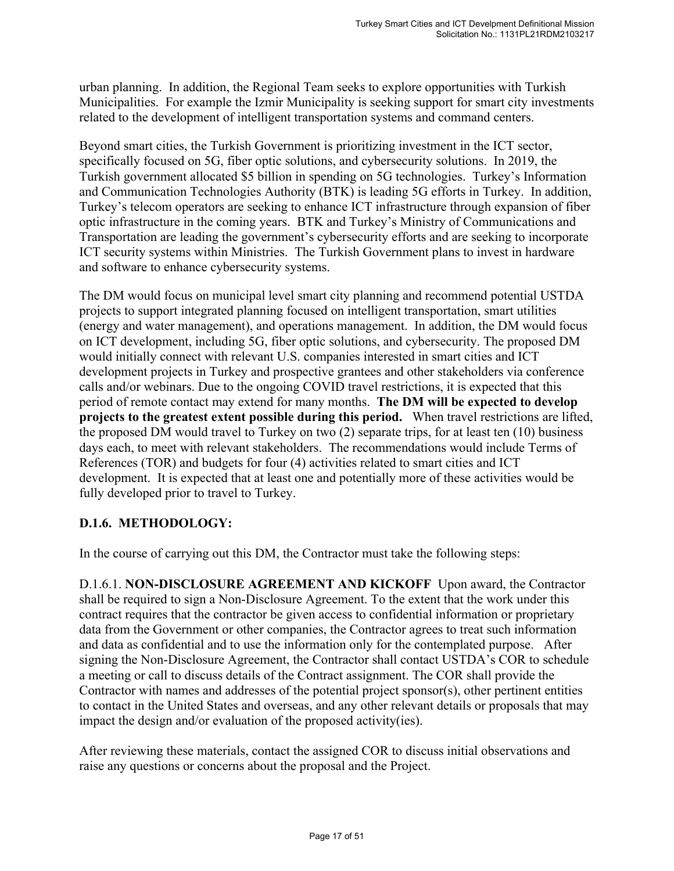urban planning. In addition, the Regional Team seeks to explore opportunities with Turkish Municipalities. For example the Izmir Municipality is seeking support for smart city investments related to the development of intelligent transportation systems and command centers.

Beyond smart cities, the Turkish Government is prioritizing investment in the ICT sector, specifically focused on 5G, fiber optic solutions, and cybersecurity solutions. In 2019, the Turkish government allocated \$5 billion in spending on 5G technologies. Turkey's Information and Communication Technologies Authority (BTK) is leading 5G efforts in Turkey. In addition, Turkey's telecom operators are seeking to enhance ICT infrastructure through expansion of fiber optic infrastructure in the coming years. BTK and Turkey's Ministry of Communications and Transportation are leading the government's cybersecurity efforts and are seeking to incorporate ICT security systems within Ministries. The Turkish Government plans to invest in hardware and software to enhance cybersecurity systems.

The DM would focus on municipal level smart city planning and recommend potential USTDA projects to support integrated planning focused on intelligent transportation, smart utilities (energy and water management), and operations management. In addition, the DM would focus on ICT development, including 5G, fiber optic solutions, and cybersecurity. The proposed DM would initially connect with relevant U.S. companies interested in smart cities and ICT development projects in Turkey and prospective grantees and other stakeholders via conference calls and/or webinars. Due to the ongoing COVID travel restrictions, it is expected that this period of remote contact may extend for many months. **The DM will be expected to develop projects to the greatest extent possible during this period.** When travel restrictions are lifted, the proposed DM would travel to Turkey on two (2) separate trips, for at least ten (10) business days each, to meet with relevant stakeholders. The recommendations would include Terms of References (TOR) and budgets for four (4) activities related to smart cities and ICT development. It is expected that at least one and potentially more of these activities would be fully developed prior to travel to Turkey.

# **D.1.6. METHODOLOGY:**

In the course of carrying out this DM, the Contractor must take the following steps:

D.1.6.1. **NON-DISCLOSURE AGREEMENT AND KICKOFF** Upon award, the Contractor shall be required to sign a Non-Disclosure Agreement. To the extent that the work under this contract requires that the contractor be given access to confidential information or proprietary data from the Government or other companies, the Contractor agrees to treat such information and data as confidential and to use the information only for the contemplated purpose. After signing the Non-Disclosure Agreement, the Contractor shall contact USTDA's COR to schedule a meeting or call to discuss details of the Contract assignment. The COR shall provide the Contractor with names and addresses of the potential project sponsor(s), other pertinent entities to contact in the United States and overseas, and any other relevant details or proposals that may impact the design and/or evaluation of the proposed activity(ies).

After reviewing these materials, contact the assigned COR to discuss initial observations and raise any questions or concerns about the proposal and the Project.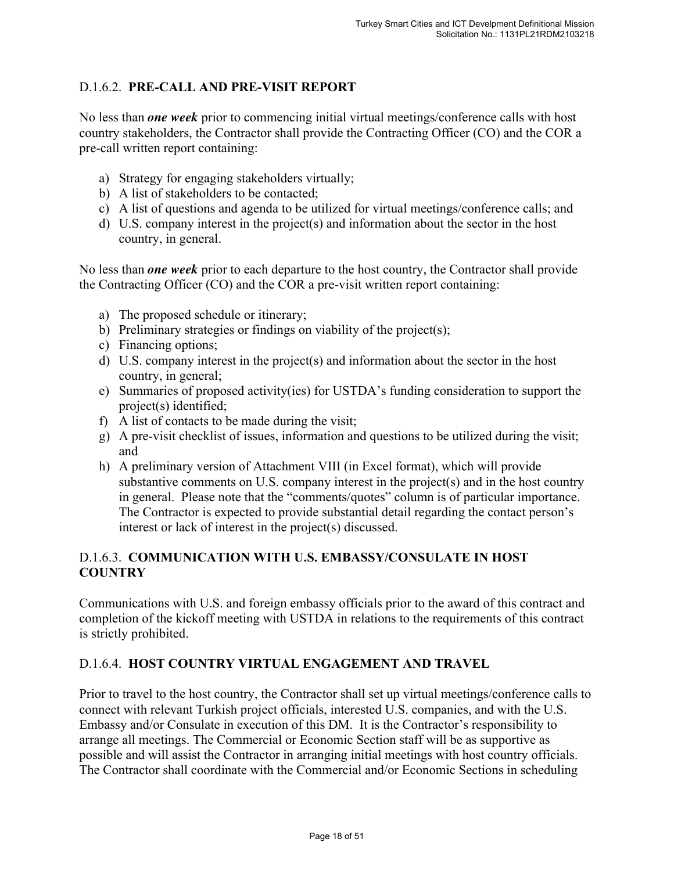# D.1.6.2. **PRE-CALL AND PRE-VISIT REPORT**

No less than *one week* prior to commencing initial virtual meetings/conference calls with host country stakeholders, the Contractor shall provide the Contracting Officer (CO) and the COR a pre-call written report containing:

- a) Strategy for engaging stakeholders virtually;
- b) A list of stakeholders to be contacted;
- c) A list of questions and agenda to be utilized for virtual meetings/conference calls; and
- d) U.S. company interest in the project(s) and information about the sector in the host country, in general.

No less than *one week* prior to each departure to the host country, the Contractor shall provide the Contracting Officer (CO) and the COR a pre-visit written report containing:

- a) The proposed schedule or itinerary;
- b) Preliminary strategies or findings on viability of the project(s);
- c) Financing options;
- d) U.S. company interest in the project(s) and information about the sector in the host country, in general;
- e) Summaries of proposed activity(ies) for USTDA's funding consideration to support the project(s) identified;
- f) A list of contacts to be made during the visit;
- g) A pre-visit checklist of issues, information and questions to be utilized during the visit; and
- h) A preliminary version of Attachment VIII (in Excel format), which will provide substantive comments on U.S. company interest in the project(s) and in the host country in general. Please note that the "comments/quotes" column is of particular importance. The Contractor is expected to provide substantial detail regarding the contact person's interest or lack of interest in the project(s) discussed.

# D.1.6.3. **COMMUNICATION WITH U.S. EMBASSY/CONSULATE IN HOST COUNTRY**

Communications with U.S. and foreign embassy officials prior to the award of this contract and completion of the kickoff meeting with USTDA in relations to the requirements of this contract is strictly prohibited.

# D.1.6.4. **HOST COUNTRY VIRTUAL ENGAGEMENT AND TRAVEL**

Prior to travel to the host country, the Contractor shall set up virtual meetings/conference calls to connect with relevant Turkish project officials, interested U.S. companies, and with the U.S. Embassy and/or Consulate in execution of this DM. It is the Contractor's responsibility to arrange all meetings. The Commercial or Economic Section staff will be as supportive as possible and will assist the Contractor in arranging initial meetings with host country officials. The Contractor shall coordinate with the Commercial and/or Economic Sections in scheduling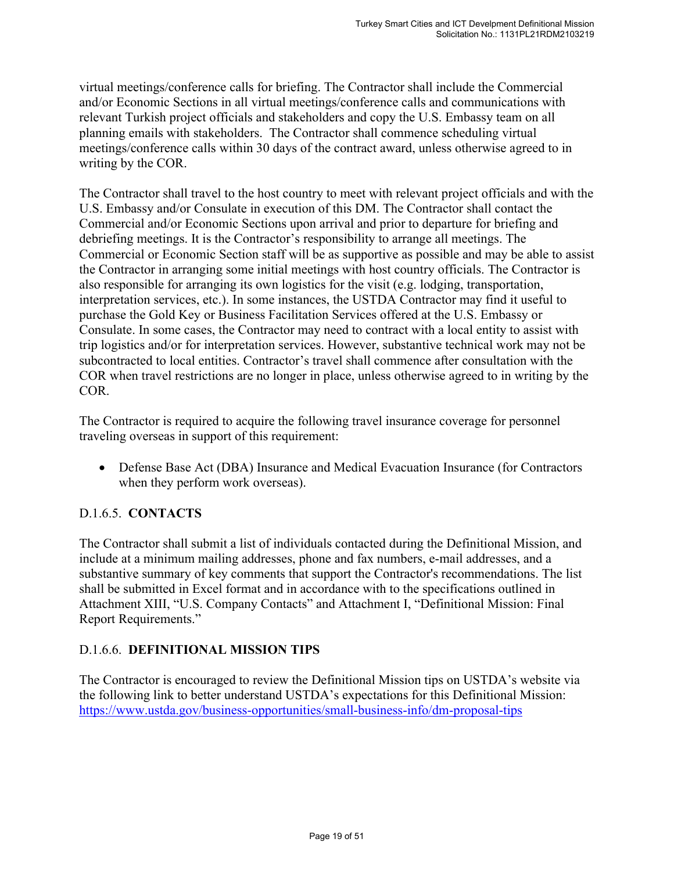virtual meetings/conference calls for briefing. The Contractor shall include the Commercial and/or Economic Sections in all virtual meetings/conference calls and communications with relevant Turkish project officials and stakeholders and copy the U.S. Embassy team on all planning emails with stakeholders. The Contractor shall commence scheduling virtual meetings/conference calls within 30 days of the contract award, unless otherwise agreed to in writing by the COR.

The Contractor shall travel to the host country to meet with relevant project officials and with the U.S. Embassy and/or Consulate in execution of this DM. The Contractor shall contact the Commercial and/or Economic Sections upon arrival and prior to departure for briefing and debriefing meetings. It is the Contractor's responsibility to arrange all meetings. The Commercial or Economic Section staff will be as supportive as possible and may be able to assist the Contractor in arranging some initial meetings with host country officials. The Contractor is also responsible for arranging its own logistics for the visit (e.g. lodging, transportation, interpretation services, etc.). In some instances, the USTDA Contractor may find it useful to purchase the Gold Key or Business Facilitation Services offered at the U.S. Embassy or Consulate. In some cases, the Contractor may need to contract with a local entity to assist with trip logistics and/or for interpretation services. However, substantive technical work may not be subcontracted to local entities. Contractor's travel shall commence after consultation with the COR when travel restrictions are no longer in place, unless otherwise agreed to in writing by the COR.

The Contractor is required to acquire the following travel insurance coverage for personnel traveling overseas in support of this requirement:

 Defense Base Act (DBA) Insurance and Medical Evacuation Insurance (for Contractors when they perform work overseas).

# D.1.6.5. **CONTACTS**

The Contractor shall submit a list of individuals contacted during the Definitional Mission, and include at a minimum mailing addresses, phone and fax numbers, e-mail addresses, and a substantive summary of key comments that support the Contractor's recommendations. The list shall be submitted in Excel format and in accordance with to the specifications outlined in Attachment XIII, "U.S. Company Contacts" and Attachment I, "Definitional Mission: Final Report Requirements."

# D.1.6.6. **DEFINITIONAL MISSION TIPS**

The Contractor is encouraged to review the Definitional Mission tips on USTDA's website via the following link to better understand USTDA's expectations for this Definitional Mission: https://www.ustda.gov/business-opportunities/small-business-info/dm-proposal-tips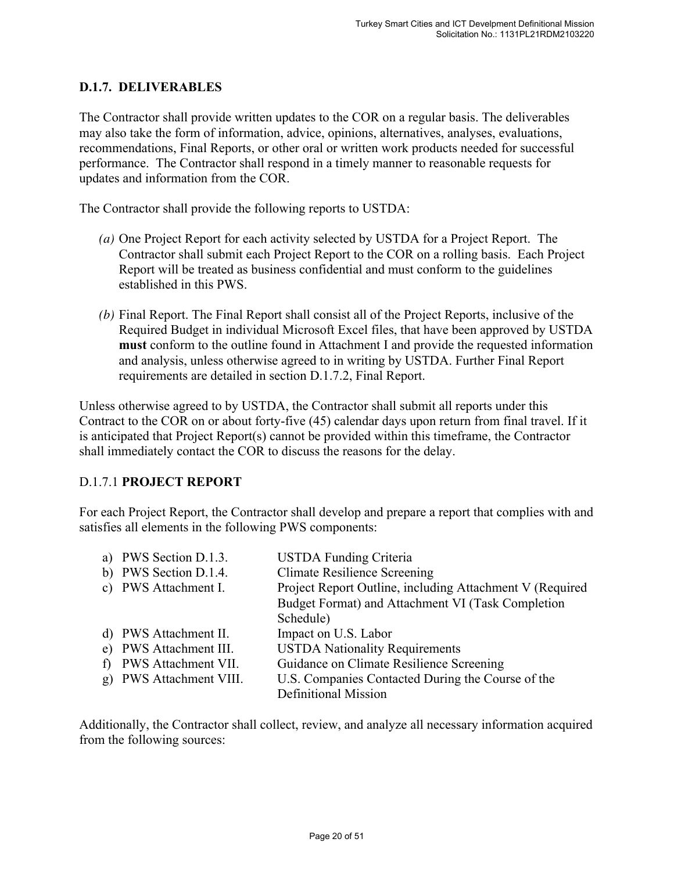# **D.1.7. DELIVERABLES**

The Contractor shall provide written updates to the COR on a regular basis. The deliverables may also take the form of information, advice, opinions, alternatives, analyses, evaluations, recommendations, Final Reports, or other oral or written work products needed for successful performance. The Contractor shall respond in a timely manner to reasonable requests for updates and information from the COR.

The Contractor shall provide the following reports to USTDA:

- *(a)* One Project Report for each activity selected by USTDA for a Project Report. The Contractor shall submit each Project Report to the COR on a rolling basis. Each Project Report will be treated as business confidential and must conform to the guidelines established in this PWS.
- *(b)* Final Report. The Final Report shall consist all of the Project Reports, inclusive of the Required Budget in individual Microsoft Excel files, that have been approved by USTDA **must** conform to the outline found in Attachment I and provide the requested information and analysis, unless otherwise agreed to in writing by USTDA. Further Final Report requirements are detailed in section D.1.7.2, Final Report.

Unless otherwise agreed to by USTDA, the Contractor shall submit all reports under this Contract to the COR on or about forty-five (45) calendar days upon return from final travel. If it is anticipated that Project Report(s) cannot be provided within this timeframe, the Contractor shall immediately contact the COR to discuss the reasons for the delay.

# D.1.7.1 **PROJECT REPORT**

For each Project Report, the Contractor shall develop and prepare a report that complies with and satisfies all elements in the following PWS components:

|   | a) PWS Section D.1.3.   | <b>USTDA Funding Criteria</b>                            |
|---|-------------------------|----------------------------------------------------------|
|   | b) PWS Section D.1.4.   | <b>Climate Resilience Screening</b>                      |
|   | c) PWS Attachment I.    | Project Report Outline, including Attachment V (Required |
|   |                         | Budget Format) and Attachment VI (Task Completion        |
|   |                         | Schedule)                                                |
|   | d) PWS Attachment II.   | Impact on U.S. Labor                                     |
|   | e) PWS Attachment III.  | <b>USTDA Nationality Requirements</b>                    |
| f | PWS Attachment VII.     | Guidance on Climate Resilience Screening                 |
|   | g) PWS Attachment VIII. | U.S. Companies Contacted During the Course of the        |
|   |                         | <b>Definitional Mission</b>                              |

Additionally, the Contractor shall collect, review, and analyze all necessary information acquired from the following sources: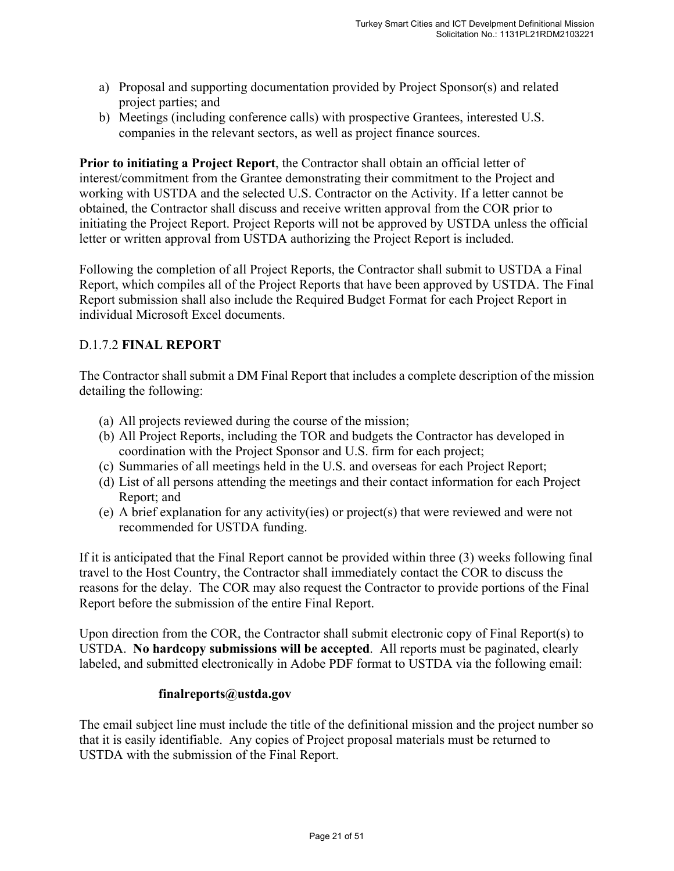- a) Proposal and supporting documentation provided by Project Sponsor(s) and related project parties; and
- b) Meetings (including conference calls) with prospective Grantees, interested U.S. companies in the relevant sectors, as well as project finance sources.

**Prior to initiating a Project Report**, the Contractor shall obtain an official letter of interest/commitment from the Grantee demonstrating their commitment to the Project and working with USTDA and the selected U.S. Contractor on the Activity. If a letter cannot be obtained, the Contractor shall discuss and receive written approval from the COR prior to initiating the Project Report. Project Reports will not be approved by USTDA unless the official letter or written approval from USTDA authorizing the Project Report is included.

Following the completion of all Project Reports, the Contractor shall submit to USTDA a Final Report, which compiles all of the Project Reports that have been approved by USTDA. The Final Report submission shall also include the Required Budget Format for each Project Report in individual Microsoft Excel documents.

# D.1.7.2 **FINAL REPORT**

The Contractor shall submit a DM Final Report that includes a complete description of the mission detailing the following:

- (a) All projects reviewed during the course of the mission;
- (b) All Project Reports, including the TOR and budgets the Contractor has developed in coordination with the Project Sponsor and U.S. firm for each project;
- (c) Summaries of all meetings held in the U.S. and overseas for each Project Report;
- (d) List of all persons attending the meetings and their contact information for each Project Report; and
- (e) A brief explanation for any activity(ies) or project(s) that were reviewed and were not recommended for USTDA funding.

If it is anticipated that the Final Report cannot be provided within three (3) weeks following final travel to the Host Country, the Contractor shall immediately contact the COR to discuss the reasons for the delay. The COR may also request the Contractor to provide portions of the Final Report before the submission of the entire Final Report.

Upon direction from the COR, the Contractor shall submit electronic copy of Final Report(s) to USTDA. **No hardcopy submissions will be accepted**. All reports must be paginated, clearly labeled, and submitted electronically in Adobe PDF format to USTDA via the following email:

#### **finalreports@ustda.gov**

The email subject line must include the title of the definitional mission and the project number so that it is easily identifiable. Any copies of Project proposal materials must be returned to USTDA with the submission of the Final Report.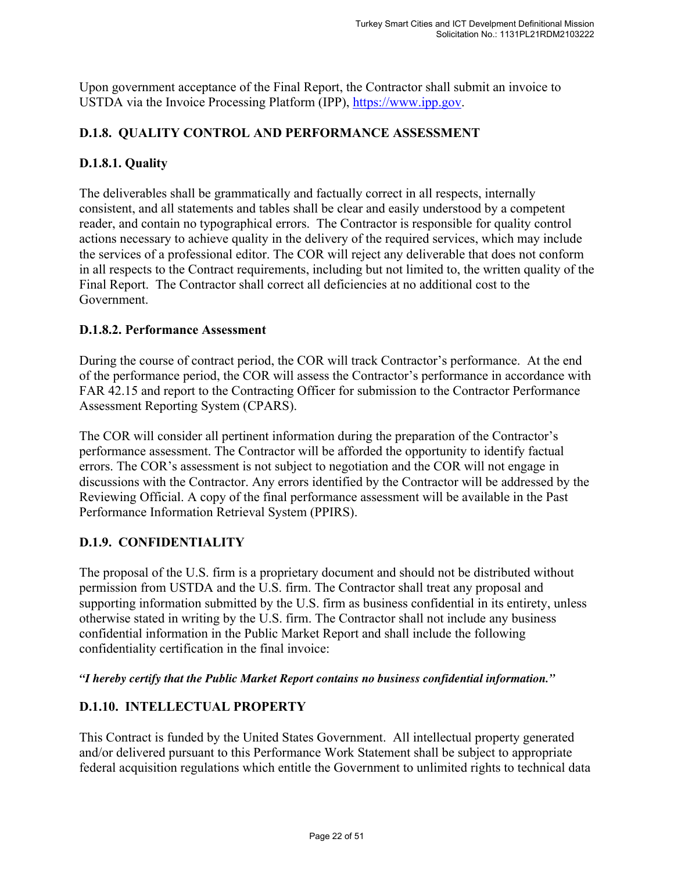Upon government acceptance of the Final Report, the Contractor shall submit an invoice to USTDA via the Invoice Processing Platform (IPP), https://www.ipp.gov.

#### **D.1.8. QUALITY CONTROL AND PERFORMANCE ASSESSMENT**

#### **D.1.8.1. Quality**

The deliverables shall be grammatically and factually correct in all respects, internally consistent, and all statements and tables shall be clear and easily understood by a competent reader, and contain no typographical errors. The Contractor is responsible for quality control actions necessary to achieve quality in the delivery of the required services, which may include the services of a professional editor. The COR will reject any deliverable that does not conform in all respects to the Contract requirements, including but not limited to, the written quality of the Final Report. The Contractor shall correct all deficiencies at no additional cost to the Government.

#### **D.1.8.2. Performance Assessment**

During the course of contract period, the COR will track Contractor's performance. At the end of the performance period, the COR will assess the Contractor's performance in accordance with FAR 42.15 and report to the Contracting Officer for submission to the Contractor Performance Assessment Reporting System (CPARS).

The COR will consider all pertinent information during the preparation of the Contractor's performance assessment. The Contractor will be afforded the opportunity to identify factual errors. The COR's assessment is not subject to negotiation and the COR will not engage in discussions with the Contractor. Any errors identified by the Contractor will be addressed by the Reviewing Official. A copy of the final performance assessment will be available in the Past Performance Information Retrieval System (PPIRS).

# **D.1.9. CONFIDENTIALITY**

The proposal of the U.S. firm is a proprietary document and should not be distributed without permission from USTDA and the U.S. firm. The Contractor shall treat any proposal and supporting information submitted by the U.S. firm as business confidential in its entirety, unless otherwise stated in writing by the U.S. firm. The Contractor shall not include any business confidential information in the Public Market Report and shall include the following confidentiality certification in the final invoice:

*"I hereby certify that the Public Market Report contains no business confidential information."* 

# **D.1.10. INTELLECTUAL PROPERTY**

This Contract is funded by the United States Government. All intellectual property generated and/or delivered pursuant to this Performance Work Statement shall be subject to appropriate federal acquisition regulations which entitle the Government to unlimited rights to technical data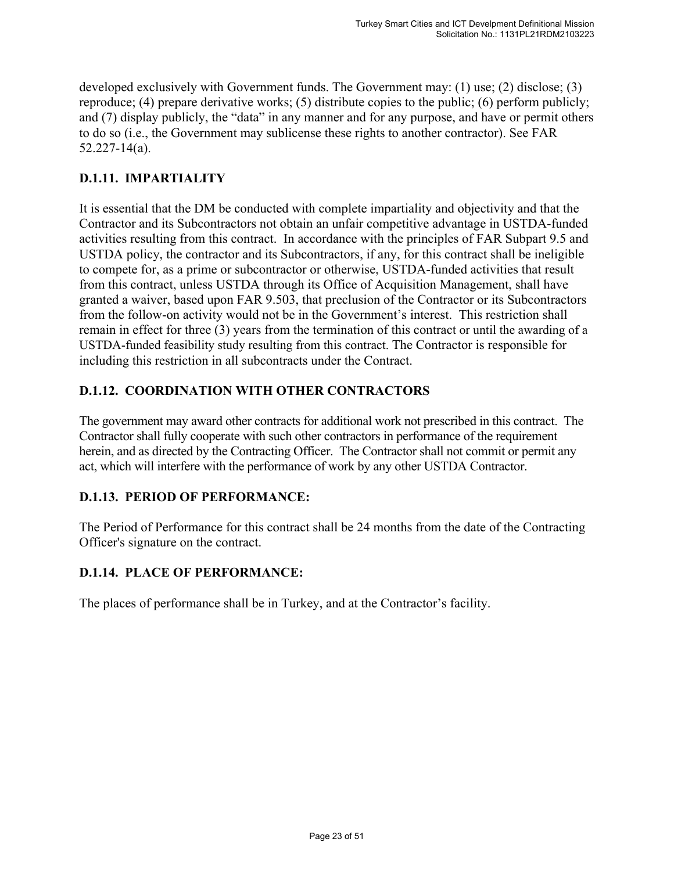developed exclusively with Government funds. The Government may: (1) use; (2) disclose; (3) reproduce; (4) prepare derivative works; (5) distribute copies to the public; (6) perform publicly; and (7) display publicly, the "data" in any manner and for any purpose, and have or permit others to do so (i.e., the Government may sublicense these rights to another contractor). See FAR 52.227-14(a).

# **D.1.11. IMPARTIALITY**

It is essential that the DM be conducted with complete impartiality and objectivity and that the Contractor and its Subcontractors not obtain an unfair competitive advantage in USTDA-funded activities resulting from this contract. In accordance with the principles of FAR Subpart 9.5 and USTDA policy, the contractor and its Subcontractors, if any, for this contract shall be ineligible to compete for, as a prime or subcontractor or otherwise, USTDA-funded activities that result from this contract, unless USTDA through its Office of Acquisition Management, shall have granted a waiver, based upon FAR 9.503, that preclusion of the Contractor or its Subcontractors from the follow-on activity would not be in the Government's interest. This restriction shall remain in effect for three (3) years from the termination of this contract or until the awarding of a USTDA-funded feasibility study resulting from this contract. The Contractor is responsible for including this restriction in all subcontracts under the Contract.

# **D.1.12. COORDINATION WITH OTHER CONTRACTORS**

The government may award other contracts for additional work not prescribed in this contract. The Contractor shall fully cooperate with such other contractors in performance of the requirement herein, and as directed by the Contracting Officer. The Contractor shall not commit or permit any act, which will interfere with the performance of work by any other USTDA Contractor.

# **D.1.13. PERIOD OF PERFORMANCE:**

The Period of Performance for this contract shall be 24 months from the date of the Contracting Officer's signature on the contract.

# **D.1.14. PLACE OF PERFORMANCE:**

The places of performance shall be in Turkey, and at the Contractor's facility.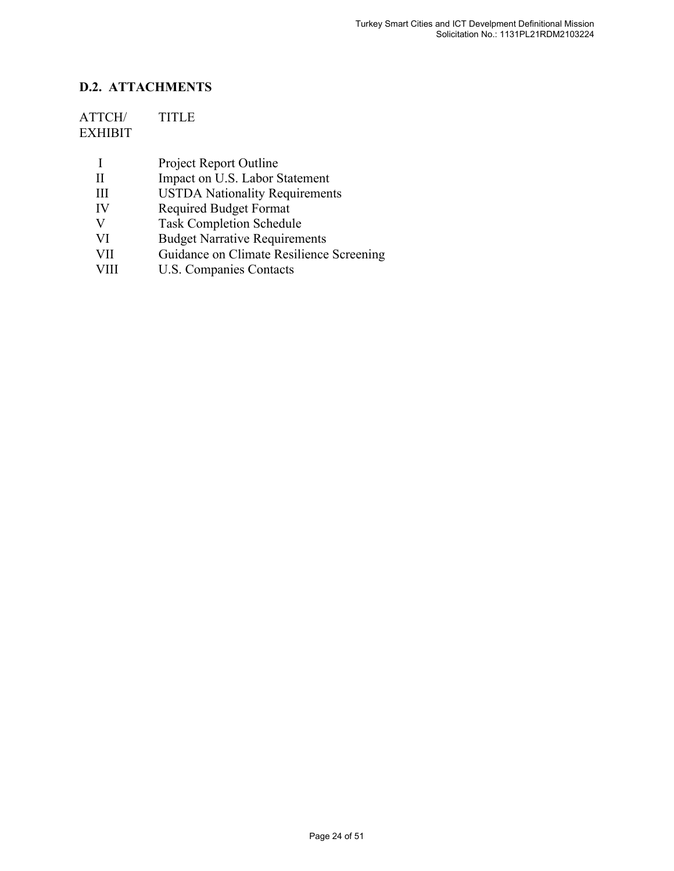# **D.2. ATTACHMENTS**

# ATTCH/ TITLE EXHIBIT

|  | <b>Project Report Outline</b> |  |
|--|-------------------------------|--|
|--|-------------------------------|--|

- II Impact on U.S. Labor Statement
- III USTDA Nationality Requirements<br>IV Required Budget Format
- Required Budget Format
- V Task Completion Schedule<br>VI Budget Narrative Requirem
- VI Budget Narrative Requirements
- VII Guidance on Climate Resilience Screening
	- VIII U.S. Companies Contacts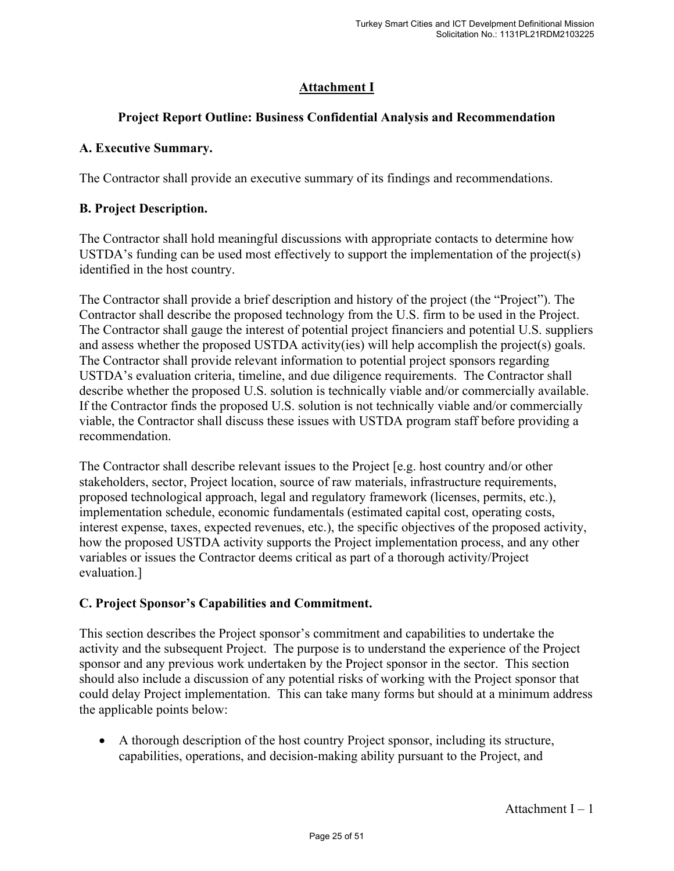# **Attachment I**

# **Project Report Outline: Business Confidential Analysis and Recommendation**

#### **A. Executive Summary.**

The Contractor shall provide an executive summary of its findings and recommendations.

#### **B. Project Description.**

The Contractor shall hold meaningful discussions with appropriate contacts to determine how USTDA's funding can be used most effectively to support the implementation of the project(s) identified in the host country.

The Contractor shall provide a brief description and history of the project (the "Project"). The Contractor shall describe the proposed technology from the U.S. firm to be used in the Project. The Contractor shall gauge the interest of potential project financiers and potential U.S. suppliers and assess whether the proposed USTDA activity(ies) will help accomplish the project(s) goals. The Contractor shall provide relevant information to potential project sponsors regarding USTDA's evaluation criteria, timeline, and due diligence requirements. The Contractor shall describe whether the proposed U.S. solution is technically viable and/or commercially available. If the Contractor finds the proposed U.S. solution is not technically viable and/or commercially viable, the Contractor shall discuss these issues with USTDA program staff before providing a recommendation.

The Contractor shall describe relevant issues to the Project [e.g. host country and/or other stakeholders, sector, Project location, source of raw materials, infrastructure requirements, proposed technological approach, legal and regulatory framework (licenses, permits, etc.), implementation schedule, economic fundamentals (estimated capital cost, operating costs, interest expense, taxes, expected revenues, etc.), the specific objectives of the proposed activity, how the proposed USTDA activity supports the Project implementation process, and any other variables or issues the Contractor deems critical as part of a thorough activity/Project evaluation.]

# **C. Project Sponsor's Capabilities and Commitment.**

This section describes the Project sponsor's commitment and capabilities to undertake the activity and the subsequent Project. The purpose is to understand the experience of the Project sponsor and any previous work undertaken by the Project sponsor in the sector. This section should also include a discussion of any potential risks of working with the Project sponsor that could delay Project implementation. This can take many forms but should at a minimum address the applicable points below:

 A thorough description of the host country Project sponsor, including its structure, capabilities, operations, and decision-making ability pursuant to the Project, and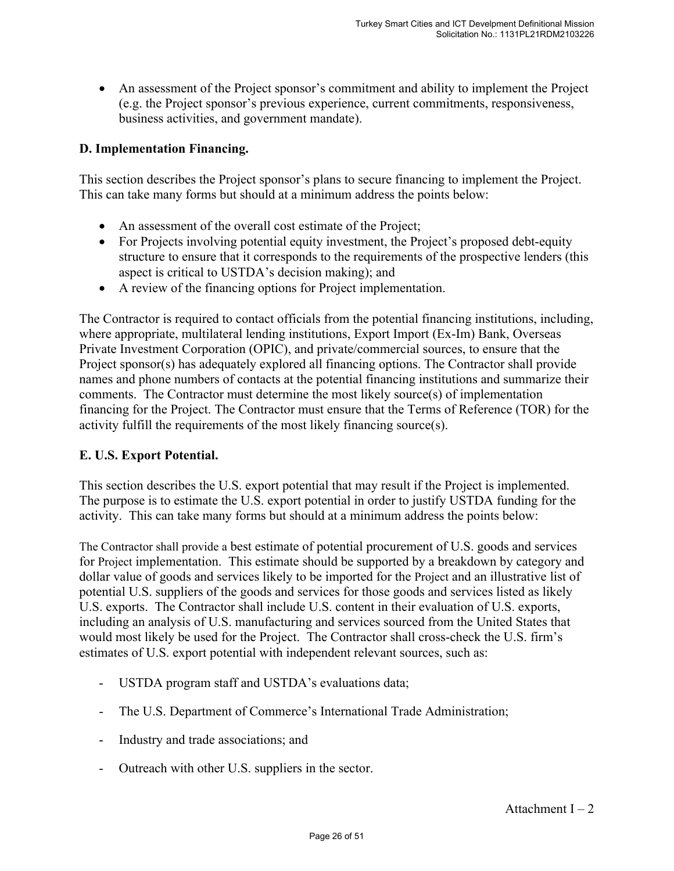An assessment of the Project sponsor's commitment and ability to implement the Project (e.g. the Project sponsor's previous experience, current commitments, responsiveness, business activities, and government mandate).

#### **D. Implementation Financing.**

This section describes the Project sponsor's plans to secure financing to implement the Project. This can take many forms but should at a minimum address the points below:

- An assessment of the overall cost estimate of the Project;
- For Projects involving potential equity investment, the Project's proposed debt-equity structure to ensure that it corresponds to the requirements of the prospective lenders (this aspect is critical to USTDA's decision making); and
- A review of the financing options for Project implementation.

The Contractor is required to contact officials from the potential financing institutions, including, where appropriate, multilateral lending institutions, Export Import (Ex-Im) Bank, Overseas Private Investment Corporation (OPIC), and private/commercial sources, to ensure that the Project sponsor(s) has adequately explored all financing options. The Contractor shall provide names and phone numbers of contacts at the potential financing institutions and summarize their comments. The Contractor must determine the most likely source(s) of implementation financing for the Project. The Contractor must ensure that the Terms of Reference (TOR) for the activity fulfill the requirements of the most likely financing source(s).

#### **E. U.S. Export Potential.**

This section describes the U.S. export potential that may result if the Project is implemented. The purpose is to estimate the U.S. export potential in order to justify USTDA funding for the activity. This can take many forms but should at a minimum address the points below:

The Contractor shall provide a best estimate of potential procurement of U.S. goods and services for Project implementation. This estimate should be supported by a breakdown by category and dollar value of goods and services likely to be imported for the Project and an illustrative list of potential U.S. suppliers of the goods and services for those goods and services listed as likely U.S. exports. The Contractor shall include U.S. content in their evaluation of U.S. exports, including an analysis of U.S. manufacturing and services sourced from the United States that would most likely be used for the Project. The Contractor shall cross-check the U.S. firm's estimates of U.S. export potential with independent relevant sources, such as:

- USTDA program staff and USTDA's evaluations data;
- The U.S. Department of Commerce's International Trade Administration;
- Industry and trade associations; and
- Outreach with other U.S. suppliers in the sector.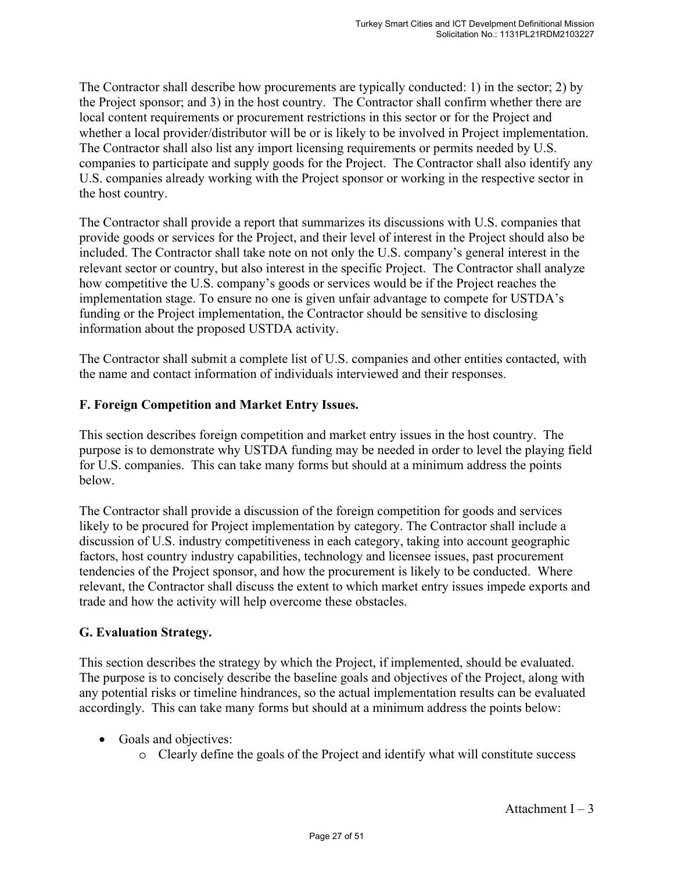The Contractor shall describe how procurements are typically conducted: 1) in the sector; 2) by the Project sponsor; and 3) in the host country. The Contractor shall confirm whether there are local content requirements or procurement restrictions in this sector or for the Project and whether a local provider/distributor will be or is likely to be involved in Project implementation. The Contractor shall also list any import licensing requirements or permits needed by U.S. companies to participate and supply goods for the Project. The Contractor shall also identify any U.S. companies already working with the Project sponsor or working in the respective sector in the host country.

The Contractor shall provide a report that summarizes its discussions with U.S. companies that provide goods or services for the Project, and their level of interest in the Project should also be included. The Contractor shall take note on not only the U.S. company's general interest in the relevant sector or country, but also interest in the specific Project. The Contractor shall analyze how competitive the U.S. company's goods or services would be if the Project reaches the implementation stage. To ensure no one is given unfair advantage to compete for USTDA's funding or the Project implementation, the Contractor should be sensitive to disclosing information about the proposed USTDA activity.

The Contractor shall submit a complete list of U.S. companies and other entities contacted, with the name and contact information of individuals interviewed and their responses.

# **F. Foreign Competition and Market Entry Issues.**

This section describes foreign competition and market entry issues in the host country. The purpose is to demonstrate why USTDA funding may be needed in order to level the playing field for U.S. companies. This can take many forms but should at a minimum address the points below.

The Contractor shall provide a discussion of the foreign competition for goods and services likely to be procured for Project implementation by category. The Contractor shall include a discussion of U.S. industry competitiveness in each category, taking into account geographic factors, host country industry capabilities, technology and licensee issues, past procurement tendencies of the Project sponsor, and how the procurement is likely to be conducted. Where relevant, the Contractor shall discuss the extent to which market entry issues impede exports and trade and how the activity will help overcome these obstacles.

# **G. Evaluation Strategy.**

This section describes the strategy by which the Project, if implemented, should be evaluated. The purpose is to concisely describe the baseline goals and objectives of the Project, along with any potential risks or timeline hindrances, so the actual implementation results can be evaluated accordingly. This can take many forms but should at a minimum address the points below:

- Goals and objectives:
	- o Clearly define the goals of the Project and identify what will constitute success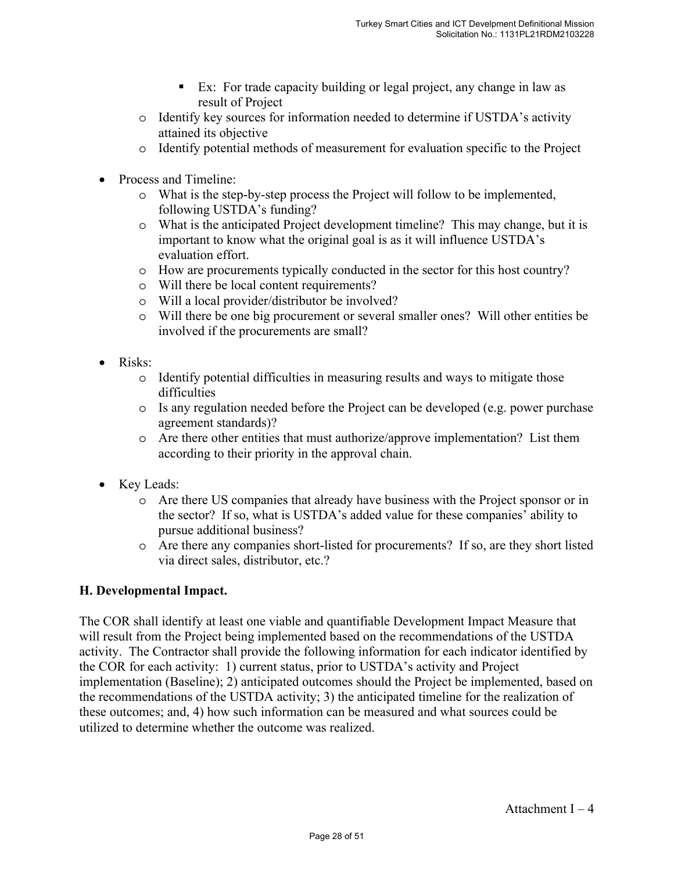- Ex: For trade capacity building or legal project, any change in law as result of Project
- o Identify key sources for information needed to determine if USTDA's activity attained its objective
- o Identify potential methods of measurement for evaluation specific to the Project
- Process and Timeline:
	- o What is the step-by-step process the Project will follow to be implemented, following USTDA's funding?
	- o What is the anticipated Project development timeline? This may change, but it is important to know what the original goal is as it will influence USTDA's evaluation effort.
	- o How are procurements typically conducted in the sector for this host country?
	- o Will there be local content requirements?
	- o Will a local provider/distributor be involved?
	- o Will there be one big procurement or several smaller ones? Will other entities be involved if the procurements are small?
- Risks:
	- o Identify potential difficulties in measuring results and ways to mitigate those difficulties
	- o Is any regulation needed before the Project can be developed (e.g. power purchase agreement standards)?
	- o Are there other entities that must authorize/approve implementation? List them according to their priority in the approval chain.
- Key Leads:
	- o Are there US companies that already have business with the Project sponsor or in the sector? If so, what is USTDA's added value for these companies' ability to pursue additional business?
	- o Are there any companies short-listed for procurements? If so, are they short listed via direct sales, distributor, etc.?

# **H. Developmental Impact.**

The COR shall identify at least one viable and quantifiable Development Impact Measure that will result from the Project being implemented based on the recommendations of the USTDA activity. The Contractor shall provide the following information for each indicator identified by the COR for each activity: 1) current status, prior to USTDA's activity and Project implementation (Baseline); 2) anticipated outcomes should the Project be implemented, based on the recommendations of the USTDA activity; 3) the anticipated timeline for the realization of these outcomes; and, 4) how such information can be measured and what sources could be utilized to determine whether the outcome was realized.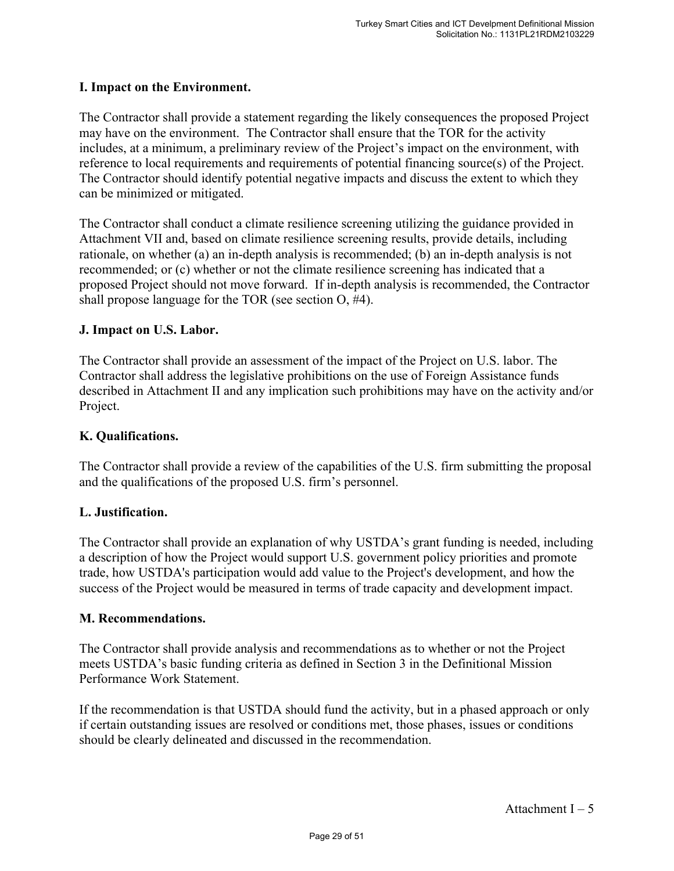#### **I. Impact on the Environment.**

The Contractor shall provide a statement regarding the likely consequences the proposed Project may have on the environment. The Contractor shall ensure that the TOR for the activity includes, at a minimum, a preliminary review of the Project's impact on the environment, with reference to local requirements and requirements of potential financing source(s) of the Project. The Contractor should identify potential negative impacts and discuss the extent to which they can be minimized or mitigated.

The Contractor shall conduct a climate resilience screening utilizing the guidance provided in Attachment VII and, based on climate resilience screening results, provide details, including rationale, on whether (a) an in-depth analysis is recommended; (b) an in-depth analysis is not recommended; or (c) whether or not the climate resilience screening has indicated that a proposed Project should not move forward. If in-depth analysis is recommended, the Contractor shall propose language for the TOR (see section O, #4).

#### **J. Impact on U.S. Labor.**

The Contractor shall provide an assessment of the impact of the Project on U.S. labor. The Contractor shall address the legislative prohibitions on the use of Foreign Assistance funds described in Attachment II and any implication such prohibitions may have on the activity and/or Project.

#### **K. Qualifications.**

The Contractor shall provide a review of the capabilities of the U.S. firm submitting the proposal and the qualifications of the proposed U.S. firm's personnel.

#### **L. Justification.**

The Contractor shall provide an explanation of why USTDA's grant funding is needed, including a description of how the Project would support U.S. government policy priorities and promote trade, how USTDA's participation would add value to the Project's development, and how the success of the Project would be measured in terms of trade capacity and development impact.

#### **M. Recommendations.**

The Contractor shall provide analysis and recommendations as to whether or not the Project meets USTDA's basic funding criteria as defined in Section 3 in the Definitional Mission Performance Work Statement.

If the recommendation is that USTDA should fund the activity, but in a phased approach or only if certain outstanding issues are resolved or conditions met, those phases, issues or conditions should be clearly delineated and discussed in the recommendation.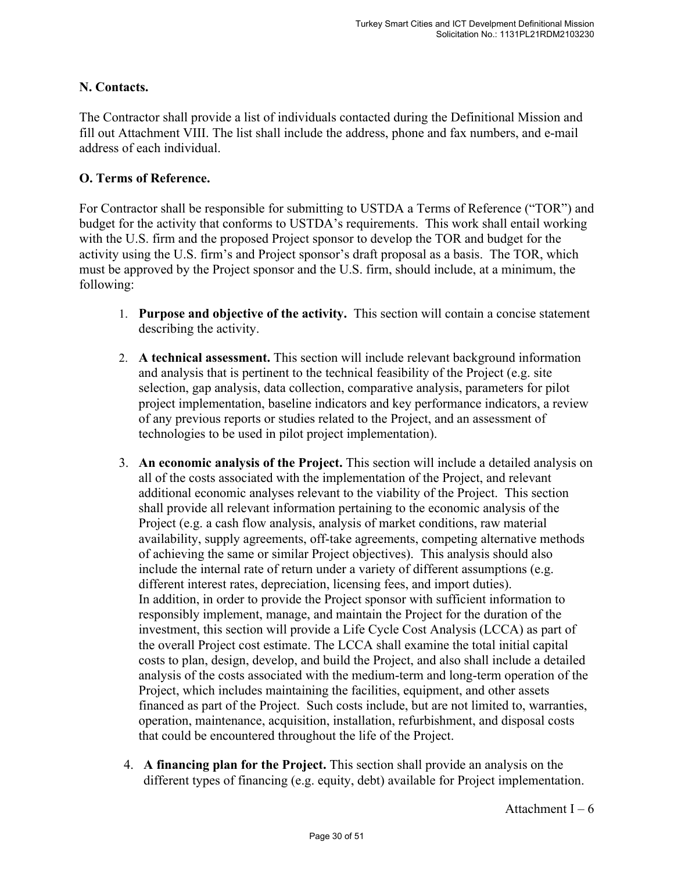# **N. Contacts.**

The Contractor shall provide a list of individuals contacted during the Definitional Mission and fill out Attachment VIII. The list shall include the address, phone and fax numbers, and e-mail address of each individual.

# **O. Terms of Reference.**

For Contractor shall be responsible for submitting to USTDA a Terms of Reference ("TOR") and budget for the activity that conforms to USTDA's requirements. This work shall entail working with the U.S. firm and the proposed Project sponsor to develop the TOR and budget for the activity using the U.S. firm's and Project sponsor's draft proposal as a basis. The TOR, which must be approved by the Project sponsor and the U.S. firm, should include, at a minimum, the following:

- 1. **Purpose and objective of the activity.** This section will contain a concise statement describing the activity.
- 2. **A technical assessment.** This section will include relevant background information and analysis that is pertinent to the technical feasibility of the Project (e.g. site selection, gap analysis, data collection, comparative analysis, parameters for pilot project implementation, baseline indicators and key performance indicators, a review of any previous reports or studies related to the Project, and an assessment of technologies to be used in pilot project implementation).
- 3. **An economic analysis of the Project.** This section will include a detailed analysis on all of the costs associated with the implementation of the Project, and relevant additional economic analyses relevant to the viability of the Project. This section shall provide all relevant information pertaining to the economic analysis of the Project (e.g. a cash flow analysis, analysis of market conditions, raw material availability, supply agreements, off-take agreements, competing alternative methods of achieving the same or similar Project objectives). This analysis should also include the internal rate of return under a variety of different assumptions (e.g. different interest rates, depreciation, licensing fees, and import duties). In addition, in order to provide the Project sponsor with sufficient information to responsibly implement, manage, and maintain the Project for the duration of the investment, this section will provide a Life Cycle Cost Analysis (LCCA) as part of the overall Project cost estimate. The LCCA shall examine the total initial capital costs to plan, design, develop, and build the Project, and also shall include a detailed analysis of the costs associated with the medium-term and long-term operation of the Project, which includes maintaining the facilities, equipment, and other assets financed as part of the Project. Such costs include, but are not limited to, warranties, operation, maintenance, acquisition, installation, refurbishment, and disposal costs that could be encountered throughout the life of the Project.
- 4. **A financing plan for the Project.** This section shall provide an analysis on the different types of financing (e.g. equity, debt) available for Project implementation.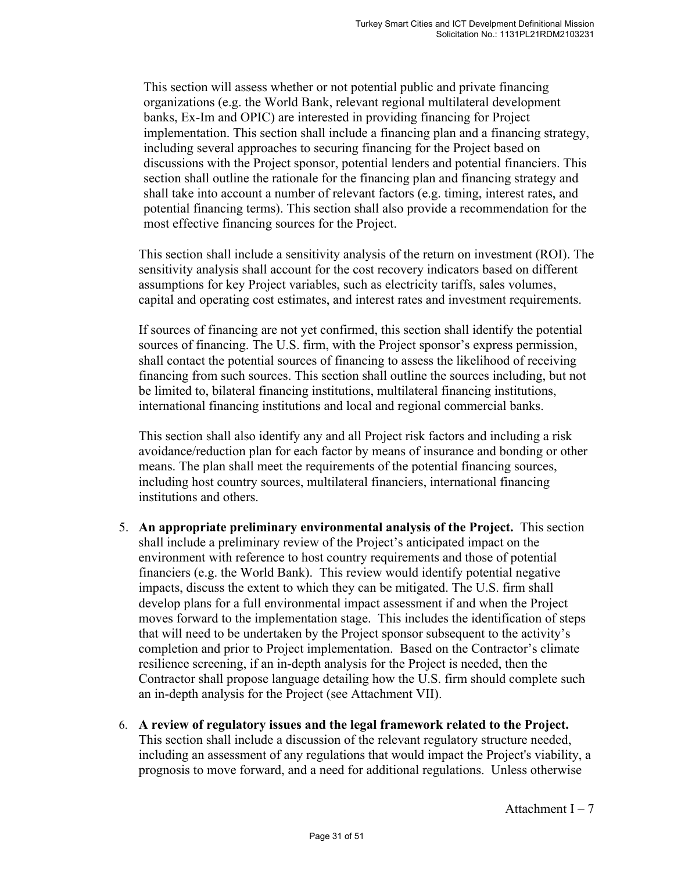This section will assess whether or not potential public and private financing organizations (e.g. the World Bank, relevant regional multilateral development banks, Ex-Im and OPIC) are interested in providing financing for Project implementation. This section shall include a financing plan and a financing strategy, including several approaches to securing financing for the Project based on discussions with the Project sponsor, potential lenders and potential financiers. This section shall outline the rationale for the financing plan and financing strategy and shall take into account a number of relevant factors (e.g. timing, interest rates, and potential financing terms). This section shall also provide a recommendation for the most effective financing sources for the Project.

This section shall include a sensitivity analysis of the return on investment (ROI). The sensitivity analysis shall account for the cost recovery indicators based on different assumptions for key Project variables, such as electricity tariffs, sales volumes, capital and operating cost estimates, and interest rates and investment requirements.

If sources of financing are not yet confirmed, this section shall identify the potential sources of financing. The U.S. firm, with the Project sponsor's express permission, shall contact the potential sources of financing to assess the likelihood of receiving financing from such sources. This section shall outline the sources including, but not be limited to, bilateral financing institutions, multilateral financing institutions, international financing institutions and local and regional commercial banks.

This section shall also identify any and all Project risk factors and including a risk avoidance/reduction plan for each factor by means of insurance and bonding or other means. The plan shall meet the requirements of the potential financing sources, including host country sources, multilateral financiers, international financing institutions and others.

- 5. **An appropriate preliminary environmental analysis of the Project.** This section shall include a preliminary review of the Project's anticipated impact on the environment with reference to host country requirements and those of potential financiers (e.g. the World Bank). This review would identify potential negative impacts, discuss the extent to which they can be mitigated. The U.S. firm shall develop plans for a full environmental impact assessment if and when the Project moves forward to the implementation stage. This includes the identification of steps that will need to be undertaken by the Project sponsor subsequent to the activity's completion and prior to Project implementation. Based on the Contractor's climate resilience screening, if an in-depth analysis for the Project is needed, then the Contractor shall propose language detailing how the U.S. firm should complete such an in-depth analysis for the Project (see Attachment VII).
- 6. **A review of regulatory issues and the legal framework related to the Project.**  This section shall include a discussion of the relevant regulatory structure needed, including an assessment of any regulations that would impact the Project's viability, a prognosis to move forward, and a need for additional regulations. Unless otherwise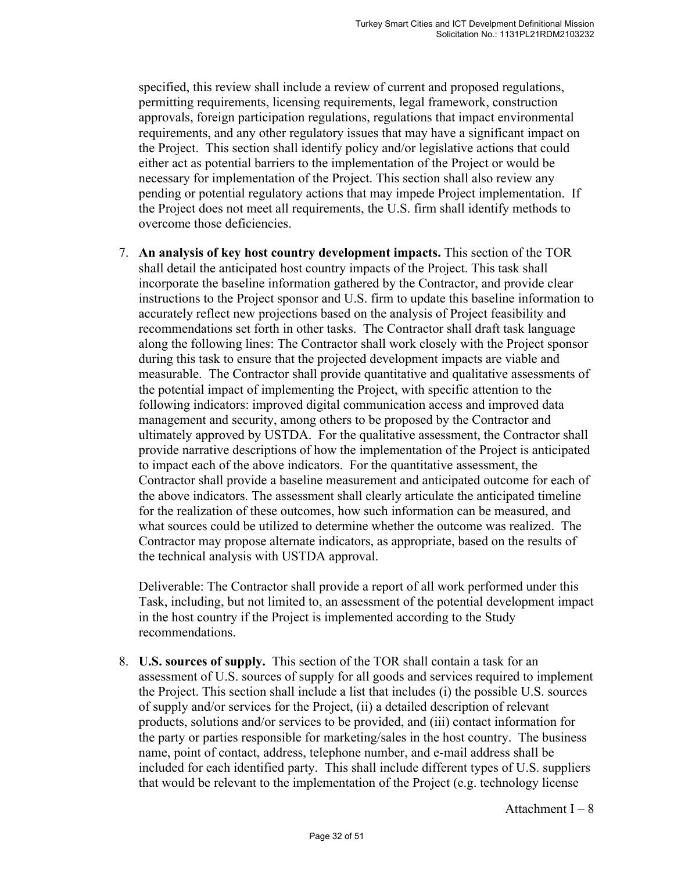specified, this review shall include a review of current and proposed regulations, permitting requirements, licensing requirements, legal framework, construction approvals, foreign participation regulations, regulations that impact environmental requirements, and any other regulatory issues that may have a significant impact on the Project. This section shall identify policy and/or legislative actions that could either act as potential barriers to the implementation of the Project or would be necessary for implementation of the Project. This section shall also review any pending or potential regulatory actions that may impede Project implementation. If the Project does not meet all requirements, the U.S. firm shall identify methods to overcome those deficiencies.

7. **An analysis of key host country development impacts.** This section of the TOR shall detail the anticipated host country impacts of the Project. This task shall incorporate the baseline information gathered by the Contractor, and provide clear instructions to the Project sponsor and U.S. firm to update this baseline information to accurately reflect new projections based on the analysis of Project feasibility and recommendations set forth in other tasks. The Contractor shall draft task language along the following lines: The Contractor shall work closely with the Project sponsor during this task to ensure that the projected development impacts are viable and measurable. The Contractor shall provide quantitative and qualitative assessments of the potential impact of implementing the Project, with specific attention to the following indicators: improved digital communication access and improved data management and security, among others to be proposed by the Contractor and ultimately approved by USTDA. For the qualitative assessment, the Contractor shall provide narrative descriptions of how the implementation of the Project is anticipated to impact each of the above indicators. For the quantitative assessment, the Contractor shall provide a baseline measurement and anticipated outcome for each of the above indicators. The assessment shall clearly articulate the anticipated timeline for the realization of these outcomes, how such information can be measured, and what sources could be utilized to determine whether the outcome was realized. The Contractor may propose alternate indicators, as appropriate, based on the results of the technical analysis with USTDA approval.

Deliverable: The Contractor shall provide a report of all work performed under this Task, including, but not limited to, an assessment of the potential development impact in the host country if the Project is implemented according to the Study recommendations.

8. **U.S. sources of supply.** This section of the TOR shall contain a task for an assessment of U.S. sources of supply for all goods and services required to implement the Project. This section shall include a list that includes (i) the possible U.S. sources of supply and/or services for the Project, (ii) a detailed description of relevant products, solutions and/or services to be provided, and (iii) contact information for the party or parties responsible for marketing/sales in the host country. The business name, point of contact, address, telephone number, and e-mail address shall be included for each identified party. This shall include different types of U.S. suppliers that would be relevant to the implementation of the Project (e.g. technology license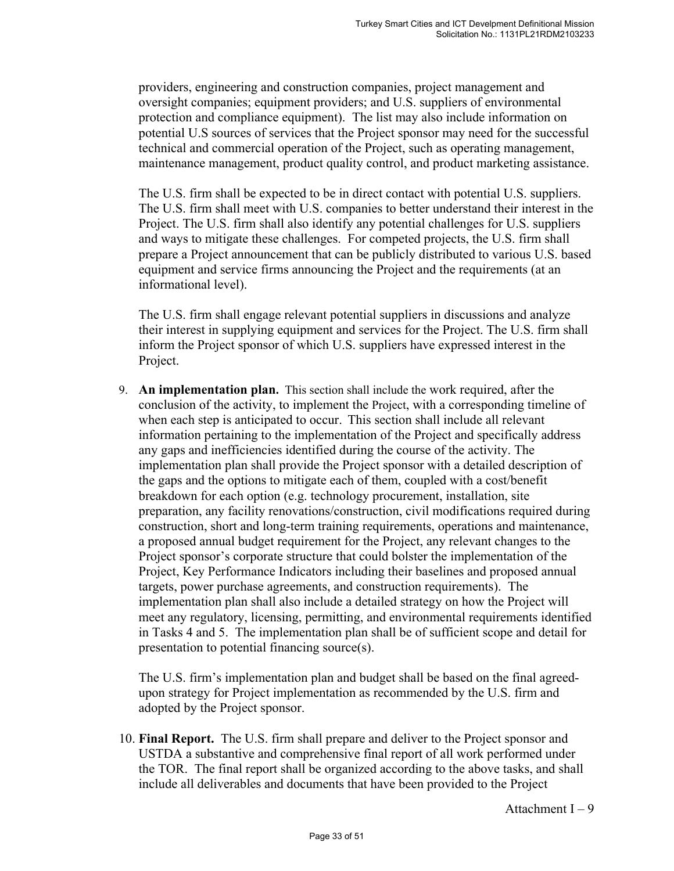providers, engineering and construction companies, project management and oversight companies; equipment providers; and U.S. suppliers of environmental protection and compliance equipment). The list may also include information on potential U.S sources of services that the Project sponsor may need for the successful technical and commercial operation of the Project, such as operating management, maintenance management, product quality control, and product marketing assistance.

The U.S. firm shall be expected to be in direct contact with potential U.S. suppliers. The U.S. firm shall meet with U.S. companies to better understand their interest in the Project. The U.S. firm shall also identify any potential challenges for U.S. suppliers and ways to mitigate these challenges. For competed projects, the U.S. firm shall prepare a Project announcement that can be publicly distributed to various U.S. based equipment and service firms announcing the Project and the requirements (at an informational level).

The U.S. firm shall engage relevant potential suppliers in discussions and analyze their interest in supplying equipment and services for the Project. The U.S. firm shall inform the Project sponsor of which U.S. suppliers have expressed interest in the Project.

9. **An implementation plan.** This section shall include the work required, after the conclusion of the activity, to implement the Project, with a corresponding timeline of when each step is anticipated to occur. This section shall include all relevant information pertaining to the implementation of the Project and specifically address any gaps and inefficiencies identified during the course of the activity. The implementation plan shall provide the Project sponsor with a detailed description of the gaps and the options to mitigate each of them, coupled with a cost/benefit breakdown for each option (e.g. technology procurement, installation, site preparation, any facility renovations/construction, civil modifications required during construction, short and long-term training requirements, operations and maintenance, a proposed annual budget requirement for the Project, any relevant changes to the Project sponsor's corporate structure that could bolster the implementation of the Project, Key Performance Indicators including their baselines and proposed annual targets, power purchase agreements, and construction requirements). The implementation plan shall also include a detailed strategy on how the Project will meet any regulatory, licensing, permitting, and environmental requirements identified in Tasks 4 and 5. The implementation plan shall be of sufficient scope and detail for presentation to potential financing source(s).

The U.S. firm's implementation plan and budget shall be based on the final agreedupon strategy for Project implementation as recommended by the U.S. firm and adopted by the Project sponsor.

10. **Final Report.** The U.S. firm shall prepare and deliver to the Project sponsor and USTDA a substantive and comprehensive final report of all work performed under the TOR. The final report shall be organized according to the above tasks, and shall include all deliverables and documents that have been provided to the Project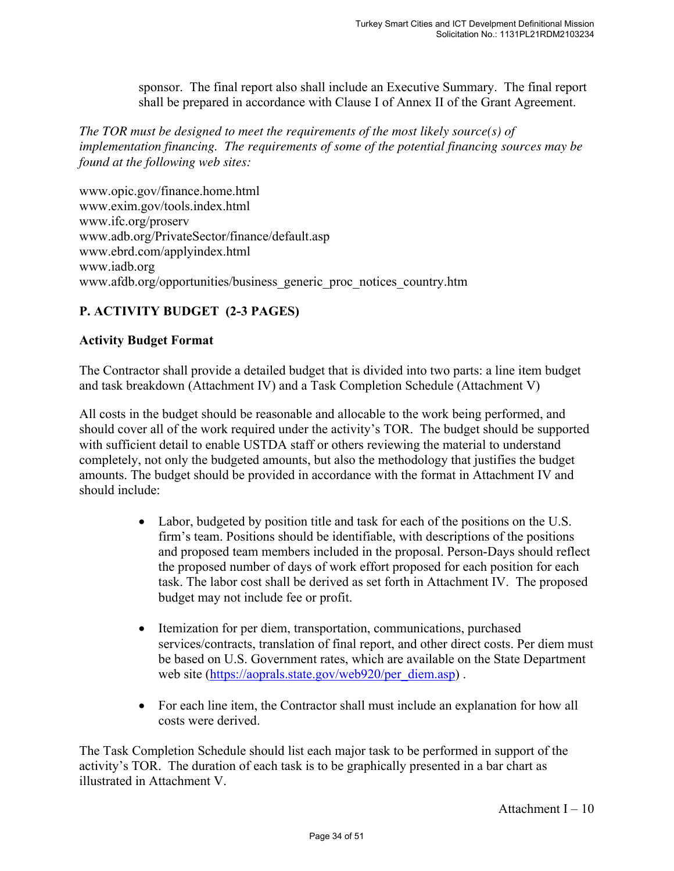sponsor. The final report also shall include an Executive Summary. The final report shall be prepared in accordance with Clause I of Annex II of the Grant Agreement.

*The TOR must be designed to meet the requirements of the most likely source(s) of implementation financing. The requirements of some of the potential financing sources may be found at the following web sites:* 

www.opic.gov/finance.home.html www.exim.gov/tools.index.html www.ifc.org/proserv www.adb.org/PrivateSector/finance/default.asp www.ebrd.com/applyindex.html www.iadb.org www.afdb.org/opportunities/business\_generic\_proc\_notices\_country.htm

# **P. ACTIVITY BUDGET (2-3 PAGES)**

#### **Activity Budget Format**

The Contractor shall provide a detailed budget that is divided into two parts: a line item budget and task breakdown (Attachment IV) and a Task Completion Schedule (Attachment V)

All costs in the budget should be reasonable and allocable to the work being performed, and should cover all of the work required under the activity's TOR. The budget should be supported with sufficient detail to enable USTDA staff or others reviewing the material to understand completely, not only the budgeted amounts, but also the methodology that justifies the budget amounts. The budget should be provided in accordance with the format in Attachment IV and should include:

- Labor, budgeted by position title and task for each of the positions on the U.S. firm's team. Positions should be identifiable, with descriptions of the positions and proposed team members included in the proposal. Person-Days should reflect the proposed number of days of work effort proposed for each position for each task. The labor cost shall be derived as set forth in Attachment IV. The proposed budget may not include fee or profit.
- Itemization for per diem, transportation, communications, purchased services/contracts, translation of final report, and other direct costs. Per diem must be based on U.S. Government rates, which are available on the State Department web site (https://aoprals.state.gov/web920/per\_diem.asp).
- For each line item, the Contractor shall must include an explanation for how all costs were derived.

The Task Completion Schedule should list each major task to be performed in support of the activity's TOR. The duration of each task is to be graphically presented in a bar chart as illustrated in Attachment V.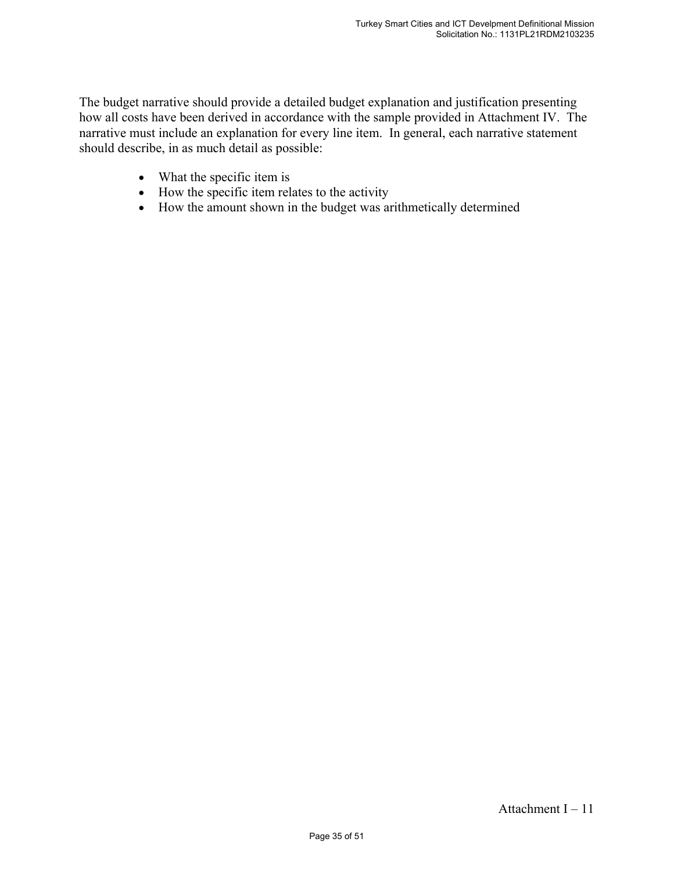The budget narrative should provide a detailed budget explanation and justification presenting how all costs have been derived in accordance with the sample provided in Attachment IV. The narrative must include an explanation for every line item. In general, each narrative statement should describe, in as much detail as possible:

- What the specific item is
- How the specific item relates to the activity
- How the amount shown in the budget was arithmetically determined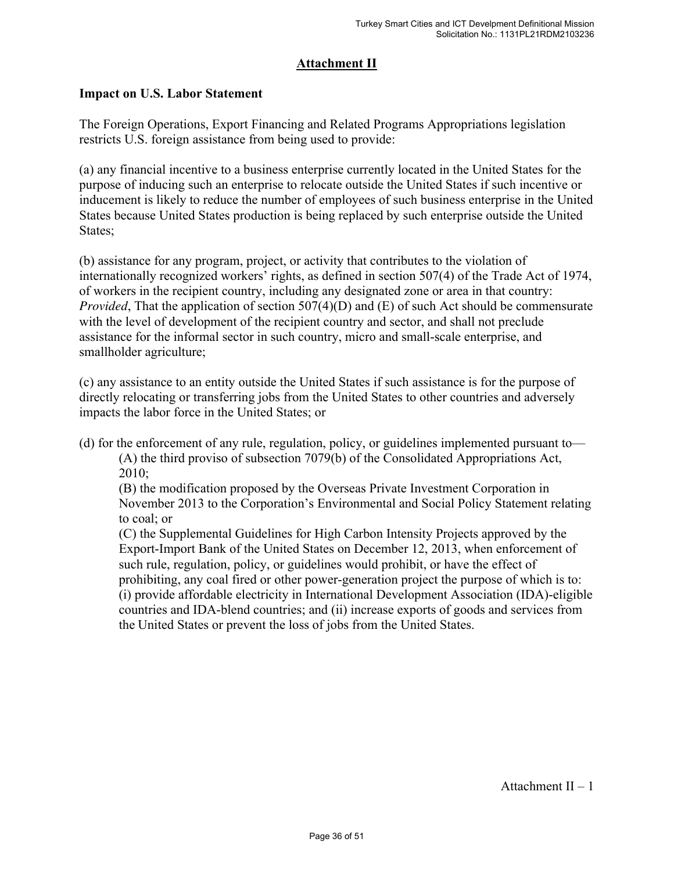# **Attachment II**

#### **Impact on U.S. Labor Statement**

The Foreign Operations, Export Financing and Related Programs Appropriations legislation restricts U.S. foreign assistance from being used to provide:

(a) any financial incentive to a business enterprise currently located in the United States for the purpose of inducing such an enterprise to relocate outside the United States if such incentive or inducement is likely to reduce the number of employees of such business enterprise in the United States because United States production is being replaced by such enterprise outside the United States;

(b) assistance for any program, project, or activity that contributes to the violation of internationally recognized workers' rights, as defined in section 507(4) of the Trade Act of 1974, of workers in the recipient country, including any designated zone or area in that country: *Provided*, That the application of section 507(4)(D) and (E) of such Act should be commensurate with the level of development of the recipient country and sector, and shall not preclude assistance for the informal sector in such country, micro and small-scale enterprise, and smallholder agriculture;

(c) any assistance to an entity outside the United States if such assistance is for the purpose of directly relocating or transferring jobs from the United States to other countries and adversely impacts the labor force in the United States; or

(d) for the enforcement of any rule, regulation, policy, or guidelines implemented pursuant to—

(A) the third proviso of subsection 7079(b) of the Consolidated Appropriations Act, 2010;

(B) the modification proposed by the Overseas Private Investment Corporation in November 2013 to the Corporation's Environmental and Social Policy Statement relating to coal; or

(C) the Supplemental Guidelines for High Carbon Intensity Projects approved by the Export-Import Bank of the United States on December 12, 2013, when enforcement of such rule, regulation, policy, or guidelines would prohibit, or have the effect of prohibiting, any coal fired or other power-generation project the purpose of which is to: (i) provide affordable electricity in International Development Association (IDA)-eligible countries and IDA-blend countries; and (ii) increase exports of goods and services from the United States or prevent the loss of jobs from the United States.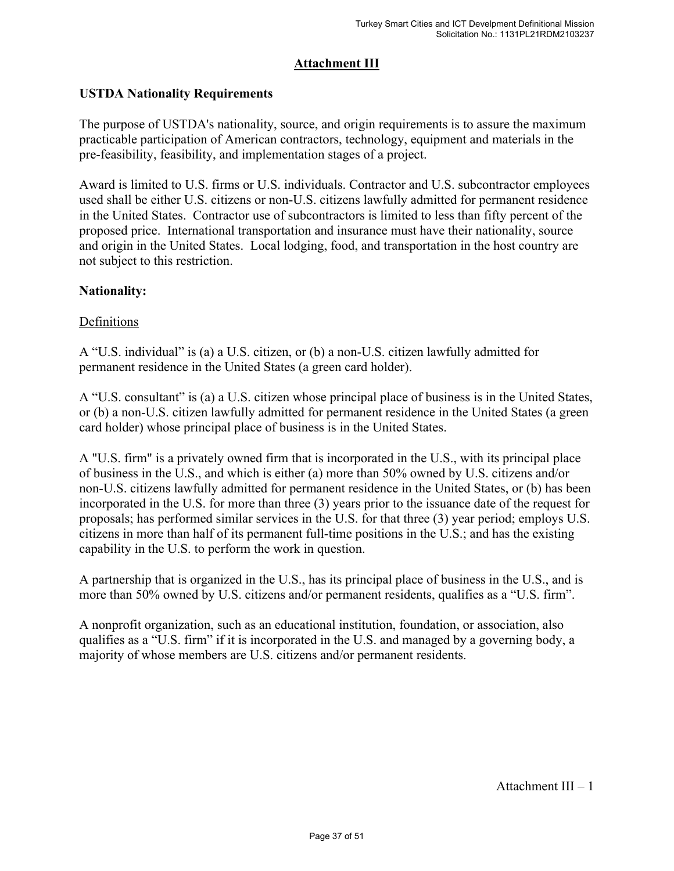# **Attachment III**

# **USTDA Nationality Requirements**

The purpose of USTDA's nationality, source, and origin requirements is to assure the maximum practicable participation of American contractors, technology, equipment and materials in the pre-feasibility, feasibility, and implementation stages of a project.

Award is limited to U.S. firms or U.S. individuals. Contractor and U.S. subcontractor employees used shall be either U.S. citizens or non-U.S. citizens lawfully admitted for permanent residence in the United States. Contractor use of subcontractors is limited to less than fifty percent of the proposed price. International transportation and insurance must have their nationality, source and origin in the United States. Local lodging, food, and transportation in the host country are not subject to this restriction.

#### **Nationality:**

# Definitions

A "U.S. individual" is (a) a U.S. citizen, or (b) a non-U.S. citizen lawfully admitted for permanent residence in the United States (a green card holder).

A "U.S. consultant" is (a) a U.S. citizen whose principal place of business is in the United States, or (b) a non-U.S. citizen lawfully admitted for permanent residence in the United States (a green card holder) whose principal place of business is in the United States.

A "U.S. firm" is a privately owned firm that is incorporated in the U.S., with its principal place of business in the U.S., and which is either (a) more than 50% owned by U.S. citizens and/or non-U.S. citizens lawfully admitted for permanent residence in the United States, or (b) has been incorporated in the U.S. for more than three (3) years prior to the issuance date of the request for proposals; has performed similar services in the U.S. for that three (3) year period; employs U.S. citizens in more than half of its permanent full-time positions in the U.S.; and has the existing capability in the U.S. to perform the work in question.

A partnership that is organized in the U.S., has its principal place of business in the U.S., and is more than 50% owned by U.S. citizens and/or permanent residents, qualifies as a "U.S. firm".

A nonprofit organization, such as an educational institution, foundation, or association, also qualifies as a "U.S. firm" if it is incorporated in the U.S. and managed by a governing body, a majority of whose members are U.S. citizens and/or permanent residents.

Attachment III – 1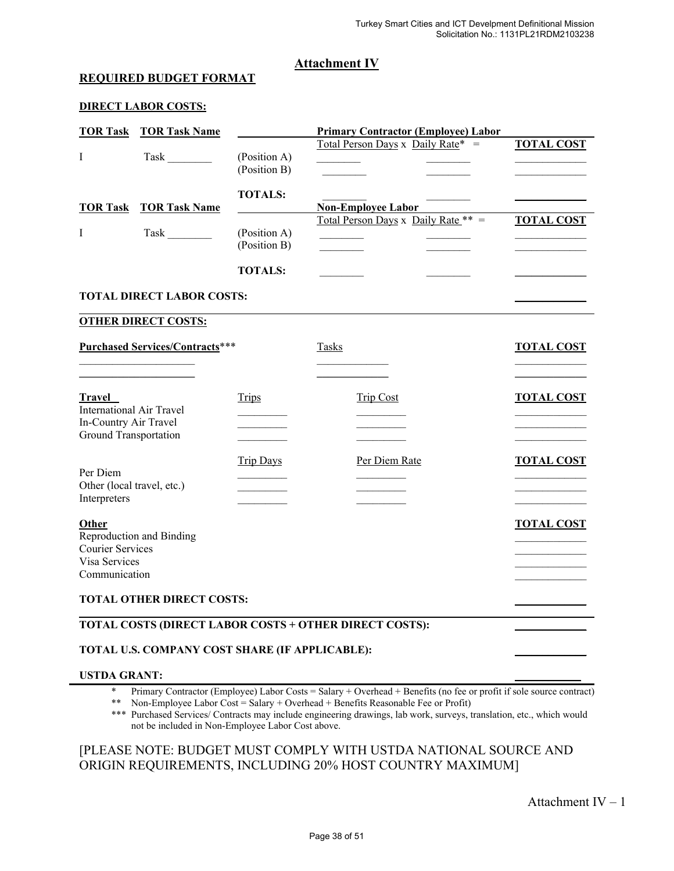#### **Attachment IV**

#### **REQUIRED BUDGET FORMAT**

#### **DIRECT LABOR COSTS:**

|                 | <b>TOR Task TOR Task Name</b>    |                              | <b>Primary Contractor (Employee) Labor</b> |                   |
|-----------------|----------------------------------|------------------------------|--------------------------------------------|-------------------|
|                 | Task                             | (Position A)<br>(Position B) | Total Person Days x Daily Rate* $=$        | <b>TOTAL COST</b> |
| <b>TOR Task</b> | <b>TOR Task Name</b>             | <b>TOTALS:</b>               | <b>Non-Employee Labor</b>                  |                   |
|                 | Task                             | (Position A)<br>(Position B) | Total Person Days x Daily Rate $** =$      | <b>TOTAL COST</b> |
|                 |                                  | <b>TOTALS:</b>               |                                            |                   |
|                 | <b>TOTAL DIDECT LABOD COSTS.</b> |                              |                                            |                   |

#### **TOTAL DIRECT LABOR COSTS: \_\_\_\_\_\_\_\_\_\_\_\_\_** l

#### **OTHER DIRECT COSTS:**

| <b>Purchased Services/Contracts***</b>                   |                  | Tasks            | <b>TOTAL COST</b> |
|----------------------------------------------------------|------------------|------------------|-------------------|
|                                                          |                  |                  |                   |
| <b>Travel</b>                                            | <b>Trips</b>     | <b>Trip Cost</b> | <b>TOTAL COST</b> |
| <b>International Air Travel</b><br>In-Country Air Travel |                  |                  |                   |
| Ground Transportation                                    |                  |                  |                   |
|                                                          | <b>Trip Days</b> | Per Diem Rate    | <b>TOTAL COST</b> |
| Per Diem                                                 |                  |                  |                   |
| Other (local travel, etc.)<br>Interpreters               |                  |                  |                   |
| Other                                                    |                  |                  | <b>TOTAL COST</b> |
| Reproduction and Binding                                 |                  |                  |                   |
| <b>Courier Services</b>                                  |                  |                  |                   |
| Visa Services                                            |                  |                  |                   |
| Communication                                            |                  |                  |                   |
| <b>TOTAL OTHER DIRECT COSTS:</b>                         |                  |                  |                   |
| TOTAL COSTS (DIRECT LABOR COSTS + OTHER DIRECT COSTS):   |                  |                  |                   |

#### TOTAL U.S. COMPANY COST SHARE (IF APPLICABLE):

#### **USTDA GRANT:**

\* Primary Contractor (Employee) Labor Costs = Salary + Overhead + Benefits (no fee or profit if sole source contract)<br>\*\* Non-Employee Labor Cost = Salary + Overhead + Benefits Benecaphile Eee or Profit)

Non-Employee Labor Cost = Salary + Overhead + Benefits Reasonable Fee or Profit)

\*\*\* Purchased Services/ Contracts may include engineering drawings, lab work, surveys, translation, etc., which would not be included in Non-Employee Labor Cost above.

#### [PLEASE NOTE: BUDGET MUST COMPLY WITH USTDA NATIONAL SOURCE AND ORIGIN REQUIREMENTS, INCLUDING 20% HOST COUNTRY MAXIMUM]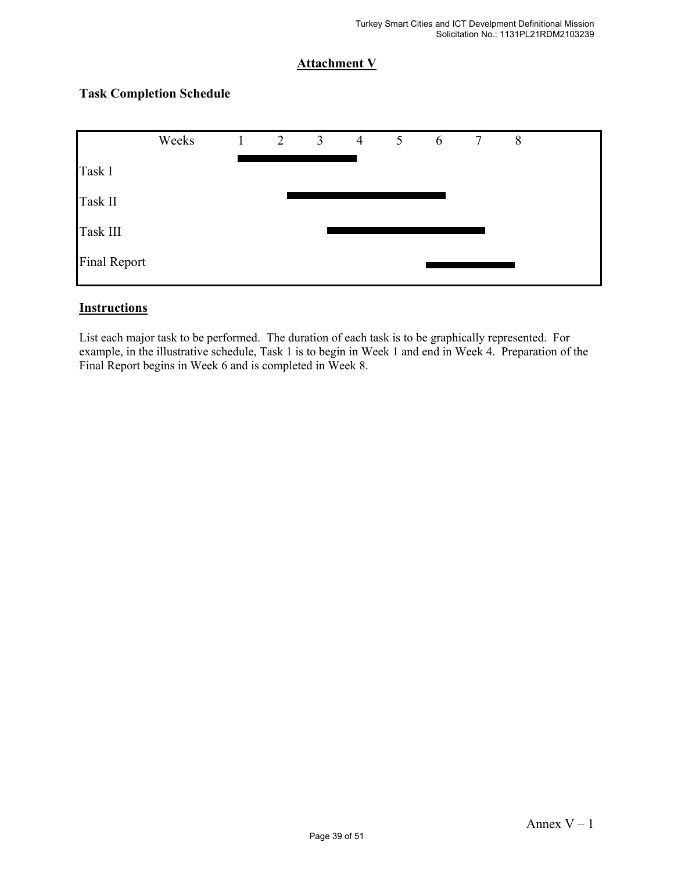# **Attachment V**

# Weeks 1 2 3 4 5 6 7 8 Task I Task II Task III Final Report

# **Task Completion Schedule**

#### **Instructions**

List each major task to be performed. The duration of each task is to be graphically represented. For example, in the illustrative schedule, Task 1 is to begin in Week 1 and end in Week 4. Preparation of the Final Report begins in Week 6 and is completed in Week 8.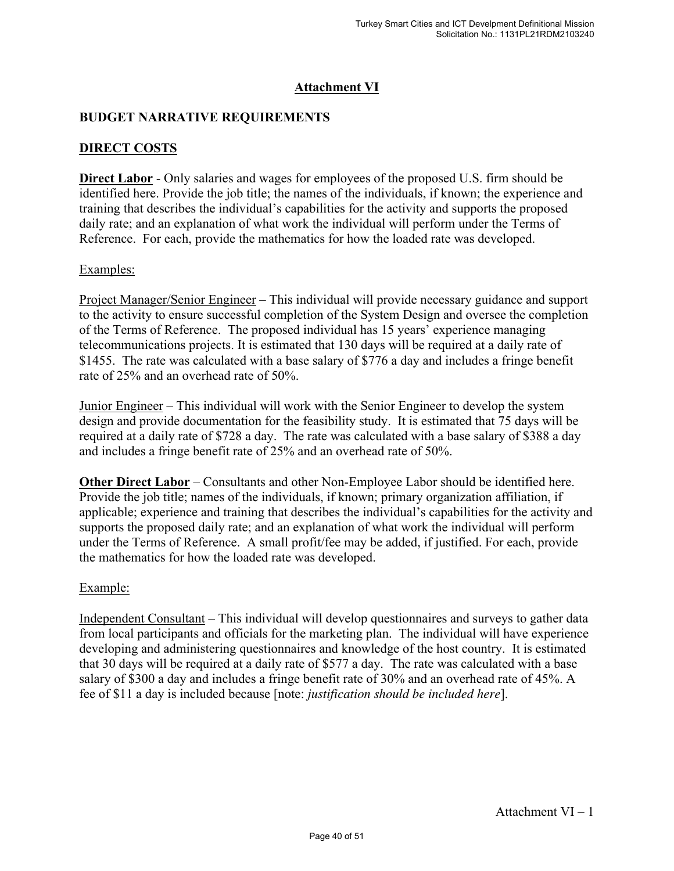# **Attachment VI**

# **BUDGET NARRATIVE REQUIREMENTS**

# **DIRECT COSTS**

**Direct Labor** - Only salaries and wages for employees of the proposed U.S. firm should be identified here. Provide the job title; the names of the individuals, if known; the experience and training that describes the individual's capabilities for the activity and supports the proposed daily rate; and an explanation of what work the individual will perform under the Terms of Reference. For each, provide the mathematics for how the loaded rate was developed.

#### Examples:

Project Manager/Senior Engineer – This individual will provide necessary guidance and support to the activity to ensure successful completion of the System Design and oversee the completion of the Terms of Reference. The proposed individual has 15 years' experience managing telecommunications projects. It is estimated that 130 days will be required at a daily rate of \$1455. The rate was calculated with a base salary of \$776 a day and includes a fringe benefit rate of 25% and an overhead rate of 50%.

Junior Engineer – This individual will work with the Senior Engineer to develop the system design and provide documentation for the feasibility study. It is estimated that 75 days will be required at a daily rate of \$728 a day. The rate was calculated with a base salary of \$388 a day and includes a fringe benefit rate of 25% and an overhead rate of 50%.

**Other Direct Labor** – Consultants and other Non-Employee Labor should be identified here. Provide the job title; names of the individuals, if known; primary organization affiliation, if applicable; experience and training that describes the individual's capabilities for the activity and supports the proposed daily rate; and an explanation of what work the individual will perform under the Terms of Reference. A small profit/fee may be added, if justified. For each, provide the mathematics for how the loaded rate was developed.

#### Example:

Independent Consultant – This individual will develop questionnaires and surveys to gather data from local participants and officials for the marketing plan. The individual will have experience developing and administering questionnaires and knowledge of the host country. It is estimated that 30 days will be required at a daily rate of \$577 a day. The rate was calculated with a base salary of \$300 a day and includes a fringe benefit rate of 30% and an overhead rate of 45%. A fee of \$11 a day is included because [note: *justification should be included here*].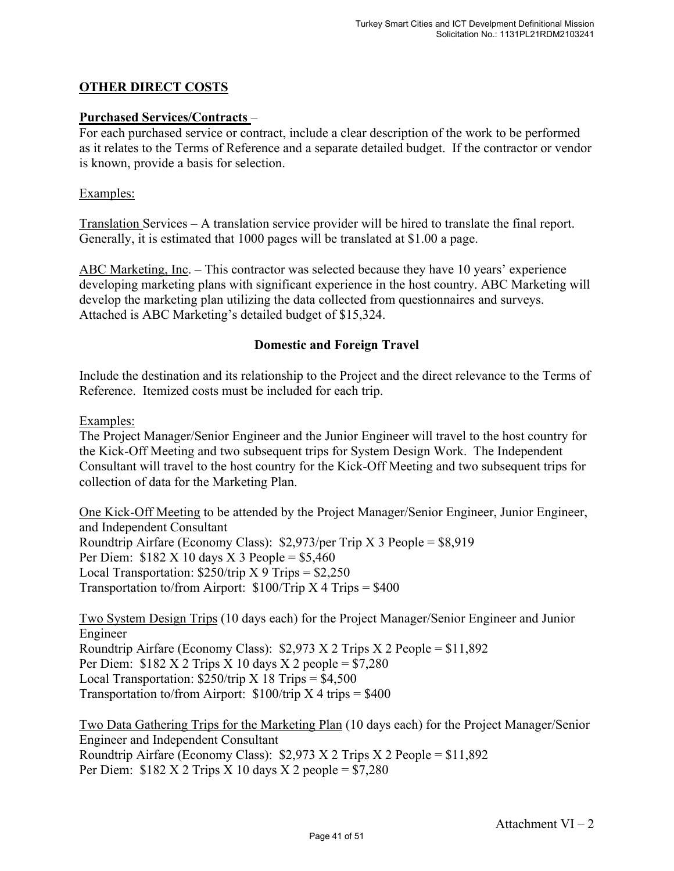# **OTHER DIRECT COSTS**

#### **Purchased Services/Contracts** –

For each purchased service or contract, include a clear description of the work to be performed as it relates to the Terms of Reference and a separate detailed budget. If the contractor or vendor is known, provide a basis for selection.

#### Examples:

Translation Services – A translation service provider will be hired to translate the final report. Generally, it is estimated that 1000 pages will be translated at \$1.00 a page.

ABC Marketing, Inc. – This contractor was selected because they have 10 years' experience developing marketing plans with significant experience in the host country. ABC Marketing will develop the marketing plan utilizing the data collected from questionnaires and surveys. Attached is ABC Marketing's detailed budget of \$15,324.

#### **Domestic and Foreign Travel**

Include the destination and its relationship to the Project and the direct relevance to the Terms of Reference. Itemized costs must be included for each trip.

#### Examples:

The Project Manager/Senior Engineer and the Junior Engineer will travel to the host country for the Kick-Off Meeting and two subsequent trips for System Design Work. The Independent Consultant will travel to the host country for the Kick-Off Meeting and two subsequent trips for collection of data for the Marketing Plan.

One Kick-Off Meeting to be attended by the Project Manager/Senior Engineer, Junior Engineer, and Independent Consultant Roundtrip Airfare (Economy Class): \$2,973/per Trip X 3 People = \$8,919 Per Diem:  $$182 \text{ X } 10 \text{ days } X \text{ 3 People} = $5,460$ Local Transportation:  $$250/trip$  X 9 Trips =  $$2,250$ Transportation to/from Airport:  $$100/Trip X 4 Trips = $400$ 

Two System Design Trips (10 days each) for the Project Manager/Senior Engineer and Junior Engineer Roundtrip Airfare (Economy Class):  $$2,973$  X 2 Trips X 2 People =  $$11,892$ Per Diem:  $$182 X 2$  Trips X 10 days X 2 people =  $$7,280$ Local Transportation:  $$250/trip$  X 18 Trips =  $$4,500$ Transportation to/from Airport:  $$100/trip X 4 trips = $400$ 

Two Data Gathering Trips for the Marketing Plan (10 days each) for the Project Manager/Senior Engineer and Independent Consultant Roundtrip Airfare (Economy Class):  $$2,973$  X 2 Trips X 2 People =  $$11,892$ Per Diem:  $$182 X 2$  Trips X 10 days X 2 people =  $$7,280$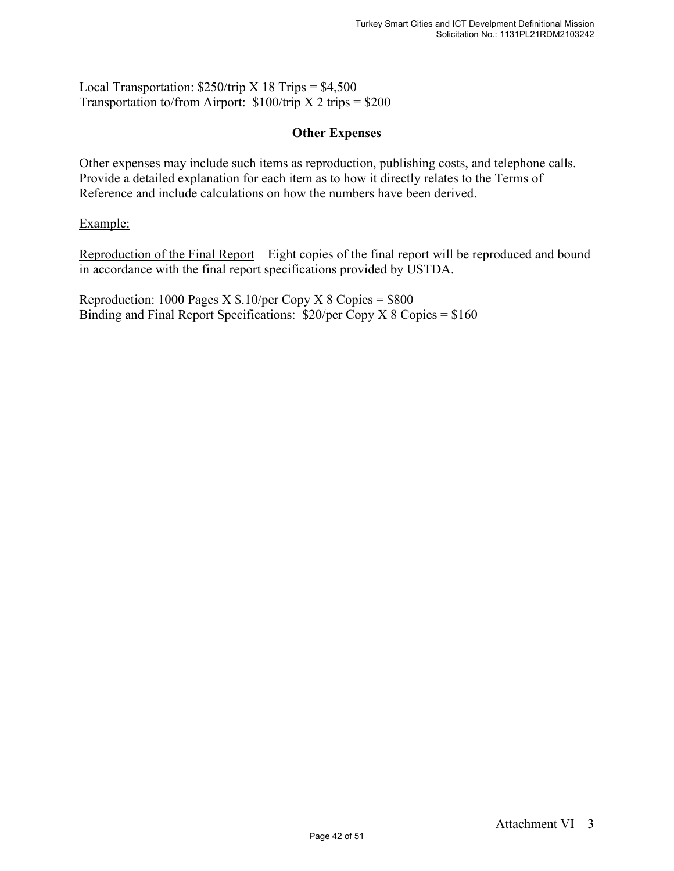Local Transportation:  $$250/trip$  X 18 Trips =  $$4,500$ Transportation to/from Airport:  $$100/trip X 2 trips = $200$ 

#### **Other Expenses**

Other expenses may include such items as reproduction, publishing costs, and telephone calls. Provide a detailed explanation for each item as to how it directly relates to the Terms of Reference and include calculations on how the numbers have been derived.

Example:

Reproduction of the Final Report – Eight copies of the final report will be reproduced and bound in accordance with the final report specifications provided by USTDA.

Reproduction: 1000 Pages  $X $.10/per$  Copy  $X 8$  Copies = \$800 Binding and Final Report Specifications: \$20/per Copy X 8 Copies = \$160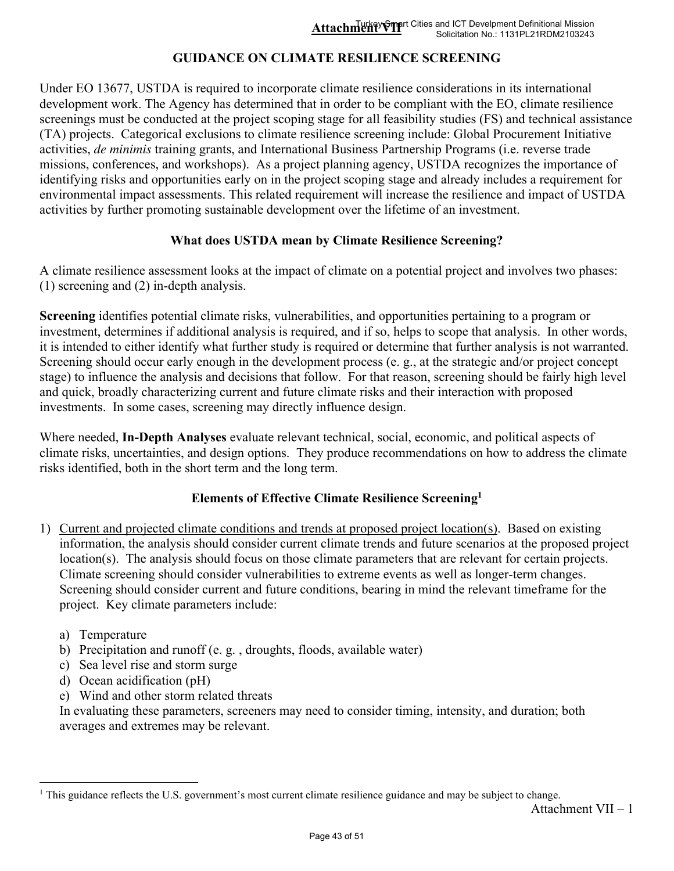# **GUIDANCE ON CLIMATE RESILIENCE SCREENING**

Under EO 13677, USTDA is required to incorporate climate resilience considerations in its international development work. The Agency has determined that in order to be compliant with the EO, climate resilience screenings must be conducted at the project scoping stage for all feasibility studies (FS) and technical assistance (TA) projects. Categorical exclusions to climate resilience screening include: Global Procurement Initiative activities, *de minimis* training grants, and International Business Partnership Programs (i.e. reverse trade missions, conferences, and workshops). As a project planning agency, USTDA recognizes the importance of identifying risks and opportunities early on in the project scoping stage and already includes a requirement for environmental impact assessments. This related requirement will increase the resilience and impact of USTDA activities by further promoting sustainable development over the lifetime of an investment.

#### **What does USTDA mean by Climate Resilience Screening?**

A climate resilience assessment looks at the impact of climate on a potential project and involves two phases: (1) screening and (2) in-depth analysis.

**Screening** identifies potential climate risks, vulnerabilities, and opportunities pertaining to a program or investment, determines if additional analysis is required, and if so, helps to scope that analysis. In other words, it is intended to either identify what further study is required or determine that further analysis is not warranted. Screening should occur early enough in the development process (e. g., at the strategic and/or project concept stage) to influence the analysis and decisions that follow. For that reason, screening should be fairly high level and quick, broadly characterizing current and future climate risks and their interaction with proposed investments. In some cases, screening may directly influence design.

Where needed, **In-Depth Analyses** evaluate relevant technical, social, economic, and political aspects of climate risks, uncertainties, and design options. They produce recommendations on how to address the climate risks identified, both in the short term and the long term.

# **Elements of Effective Climate Resilience Screening<sup>1</sup>**

- 1) Current and projected climate conditions and trends at proposed project location(s). Based on existing information, the analysis should consider current climate trends and future scenarios at the proposed project location(s). The analysis should focus on those climate parameters that are relevant for certain projects. Climate screening should consider vulnerabilities to extreme events as well as longer-term changes. Screening should consider current and future conditions, bearing in mind the relevant timeframe for the project. Key climate parameters include:
	- a) Temperature
	- b) Precipitation and runoff (e. g. , droughts, floods, available water)
	- c) Sea level rise and storm surge
	- d) Ocean acidification (pH)
	- e) Wind and other storm related threats

In evaluating these parameters, screeners may need to consider timing, intensity, and duration; both averages and extremes may be relevant.

<sup>&</sup>lt;sup>1</sup> This guidance reflects the U.S. government's most current climate resilience guidance and may be subject to change.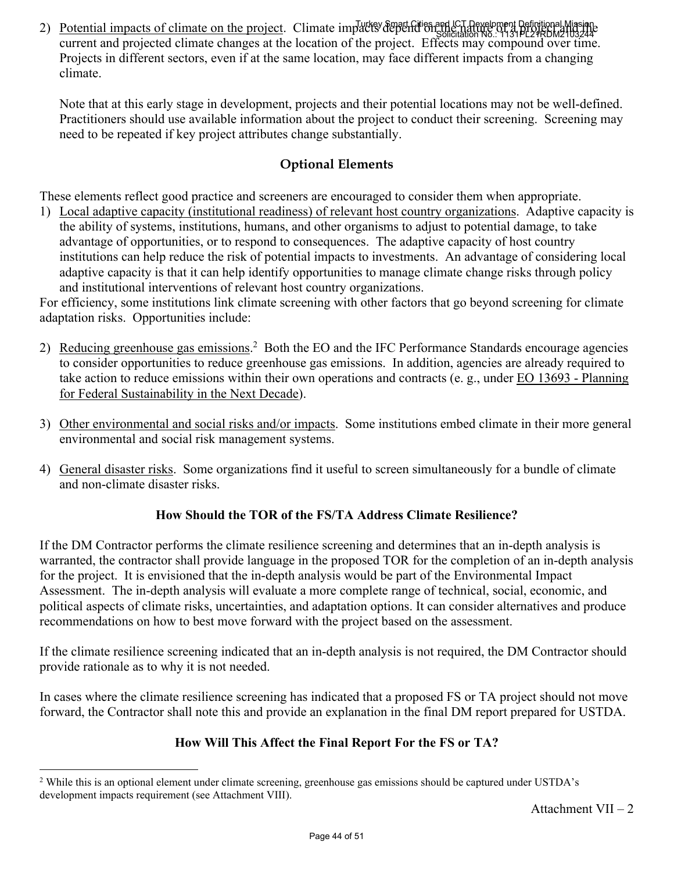2) Potential impacts of climate on the project. Climate impacts depend on the nature of a project and the nature of current and projected climate changes at the location of the project. Effects may compound over time. Projects in different sectors, even if at the same location, may face different impacts from a changing climate. Solicitation No.: 1131PL21RDM2103244

Note that at this early stage in development, projects and their potential locations may not be well-defined. Practitioners should use available information about the project to conduct their screening. Screening may need to be repeated if key project attributes change substantially.

# **Optional Elements**

These elements reflect good practice and screeners are encouraged to consider them when appropriate.

1) Local adaptive capacity (institutional readiness) of relevant host country organizations. Adaptive capacity is the ability of systems, institutions, humans, and other organisms to adjust to potential damage, to take advantage of opportunities, or to respond to consequences. The adaptive capacity of host country institutions can help reduce the risk of potential impacts to investments. An advantage of considering local adaptive capacity is that it can help identify opportunities to manage climate change risks through policy and institutional interventions of relevant host country organizations.

For efficiency, some institutions link climate screening with other factors that go beyond screening for climate adaptation risks. Opportunities include:

- 2) Reducing greenhouse gas emissions.<sup>2</sup> Both the EO and the IFC Performance Standards encourage agencies to consider opportunities to reduce greenhouse gas emissions. In addition, agencies are already required to take action to reduce emissions within their own operations and contracts (e. g., under EO 13693 - Planning for Federal Sustainability in the Next Decade).
- 3) Other environmental and social risks and/or impacts. Some institutions embed climate in their more general environmental and social risk management systems.
- 4) General disaster risks. Some organizations find it useful to screen simultaneously for a bundle of climate and non-climate disaster risks.

# **How Should the TOR of the FS/TA Address Climate Resilience?**

If the DM Contractor performs the climate resilience screening and determines that an in-depth analysis is warranted, the contractor shall provide language in the proposed TOR for the completion of an in-depth analysis for the project. It is envisioned that the in-depth analysis would be part of the Environmental Impact Assessment. The in-depth analysis will evaluate a more complete range of technical, social, economic, and political aspects of climate risks, uncertainties, and adaptation options. It can consider alternatives and produce recommendations on how to best move forward with the project based on the assessment.

If the climate resilience screening indicated that an in-depth analysis is not required, the DM Contractor should provide rationale as to why it is not needed.

In cases where the climate resilience screening has indicated that a proposed FS or TA project should not move forward, the Contractor shall note this and provide an explanation in the final DM report prepared for USTDA.

# **How Will This Affect the Final Report For the FS or TA?**

<sup>&</sup>lt;sup>2</sup> While this is an optional element under climate screening, greenhouse gas emissions should be captured under USTDA's development impacts requirement (see Attachment VIII).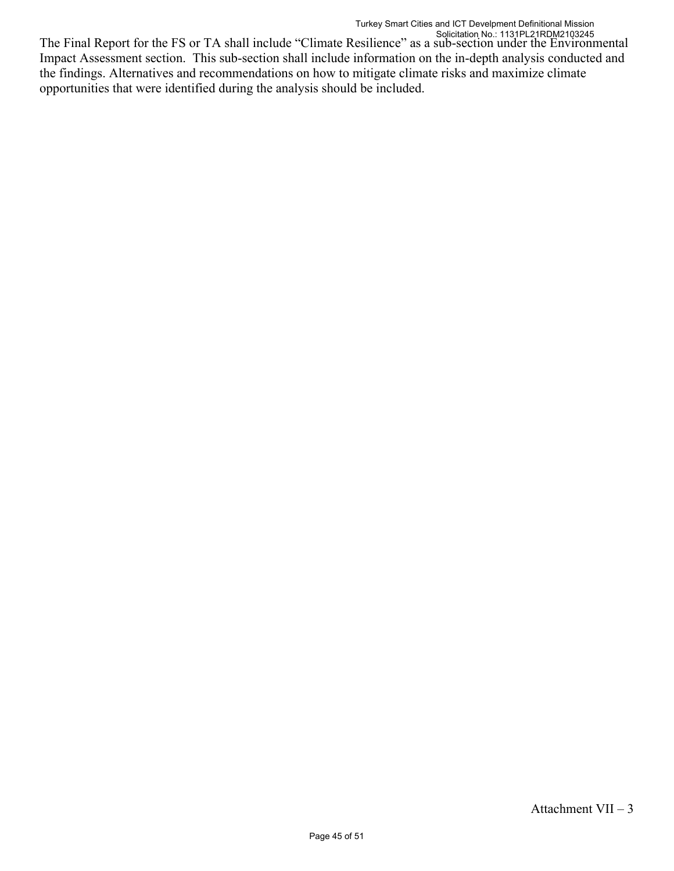The Final Report for the FS or TA shall include "Climate Resilience" as a sub-section under the Environmental Impact Assessment section. This sub-section shall include information on the in-depth analysis conducted and the findings. Alternatives and recommendations on how to mitigate climate risks and maximize climate opportunities that were identified during the analysis should be included. Solicitation No.: 1131PL21RDM2103245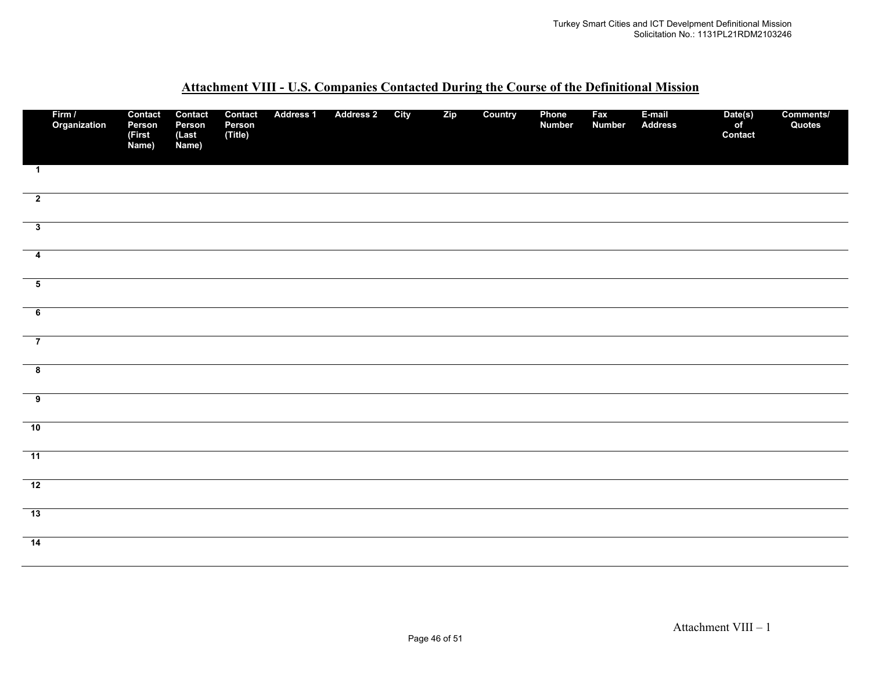|                         | Firm /<br>Organization | Contact<br>Person<br>(First<br>Name) | Contact<br>Person<br>(Last<br>Name) | Contact<br>Person<br>(Title) | <b>Address 1</b> | <b>Address 2</b> | City | Zip | Country | Phone<br><b>Number</b> | Fax<br><b>Number</b> | E-mail<br><b>Address</b> | Date(s)<br>of<br>Contact | Comments/<br>Quotes |
|-------------------------|------------------------|--------------------------------------|-------------------------------------|------------------------------|------------------|------------------|------|-----|---------|------------------------|----------------------|--------------------------|--------------------------|---------------------|
| $\mathbf{1}$            |                        |                                      |                                     |                              |                  |                  |      |     |         |                        |                      |                          |                          |                     |
| $\overline{\mathbf{2}}$ |                        |                                      |                                     |                              |                  |                  |      |     |         |                        |                      |                          |                          |                     |
| $\overline{\mathbf{3}}$ |                        |                                      |                                     |                              |                  |                  |      |     |         |                        |                      |                          |                          |                     |
| $\overline{\mathbf{4}}$ |                        |                                      |                                     |                              |                  |                  |      |     |         |                        |                      |                          |                          |                     |
| $\overline{\mathbf{5}}$ |                        |                                      |                                     |                              |                  |                  |      |     |         |                        |                      |                          |                          |                     |
| $\overline{6}$          |                        |                                      |                                     |                              |                  |                  |      |     |         |                        |                      |                          |                          |                     |
| $\overline{\mathbf{7}}$ |                        |                                      |                                     |                              |                  |                  |      |     |         |                        |                      |                          |                          |                     |
| $\overline{\mathbf{8}}$ |                        |                                      |                                     |                              |                  |                  |      |     |         |                        |                      |                          |                          |                     |
| $\overline{9}$          |                        |                                      |                                     |                              |                  |                  |      |     |         |                        |                      |                          |                          |                     |
| 10                      |                        |                                      |                                     |                              |                  |                  |      |     |         |                        |                      |                          |                          |                     |
| $-11$                   |                        |                                      |                                     |                              |                  |                  |      |     |         |                        |                      |                          |                          |                     |
| 12                      |                        |                                      |                                     |                              |                  |                  |      |     |         |                        |                      |                          |                          |                     |
| 13                      |                        |                                      |                                     |                              |                  |                  |      |     |         |                        |                      |                          |                          |                     |
| $\overline{14}$         |                        |                                      |                                     |                              |                  |                  |      |     |         |                        |                      |                          |                          |                     |

#### **Attachment VIII - U.S. Companies Contacted During the Course of the Definitional Mission**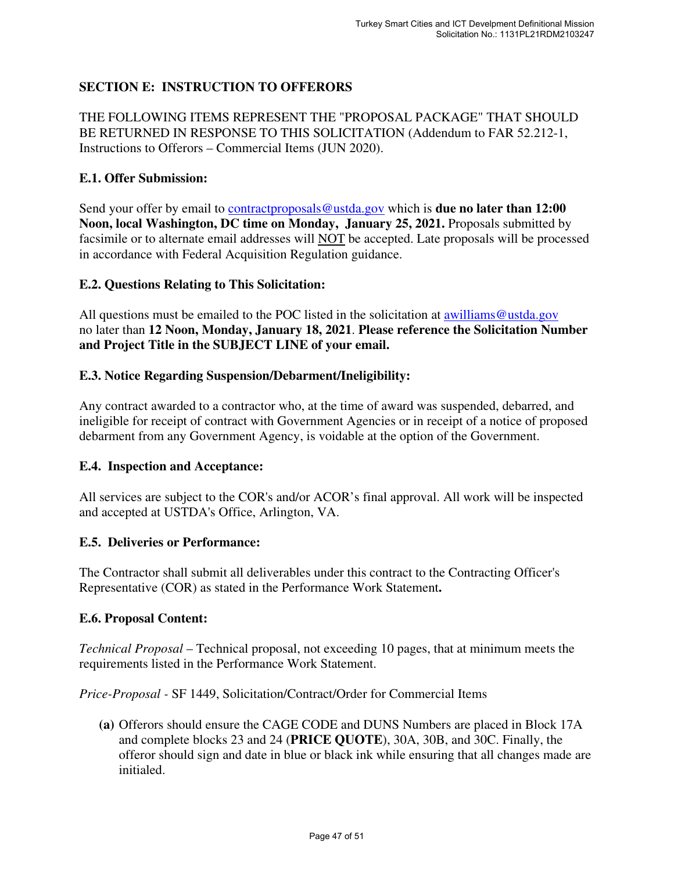# **SECTION E: INSTRUCTION TO OFFERORS**

THE FOLLOWING ITEMS REPRESENT THE "PROPOSAL PACKAGE" THAT SHOULD BE RETURNED IN RESPONSE TO THIS SOLICITATION (Addendum to FAR 52.212-1, Instructions to Offerors – Commercial Items (JUN 2020).

#### **E.1. Offer Submission:**

Send your offer by email to **contractproposals@ustda.gov** which is **due no later than 12:00 Noon, local Washington, DC time on Monday, January 25, 2021.** Proposals submitted by facsimile or to alternate email addresses will NOT be accepted. Late proposals will be processed in accordance with Federal Acquisition Regulation guidance.

#### **E.2. Questions Relating to This Solicitation:**

All questions must be emailed to the POC listed in the solicitation at awilliams@ustda.gov no later than **12 Noon, Monday, January 18, 2021**. **Please reference the Solicitation Number and Project Title in the SUBJECT LINE of your email.**

#### **E.3. Notice Regarding Suspension/Debarment/Ineligibility:**

Any contract awarded to a contractor who, at the time of award was suspended, debarred, and ineligible for receipt of contract with Government Agencies or in receipt of a notice of proposed debarment from any Government Agency, is voidable at the option of the Government.

#### **E.4. Inspection and Acceptance:**

All services are subject to the COR's and/or ACOR's final approval. All work will be inspected and accepted at USTDA's Office, Arlington, VA.

#### **E.5. Deliveries or Performance:**

The Contractor shall submit all deliverables under this contract to the Contracting Officer's Representative (COR) as stated in the Performance Work Statement**.**

#### **E.6. Proposal Content:**

*Technical Proposal* – Technical proposal, not exceeding 10 pages, that at minimum meets the requirements listed in the Performance Work Statement.

*Price-Proposal -* SF 1449, Solicitation/Contract/Order for Commercial Items

**(a)** Offerors should ensure the CAGE CODE and DUNS Numbers are placed in Block 17A and complete blocks 23 and 24 (**PRICE QUOTE**), 30A, 30B, and 30C. Finally, the offeror should sign and date in blue or black ink while ensuring that all changes made are initialed.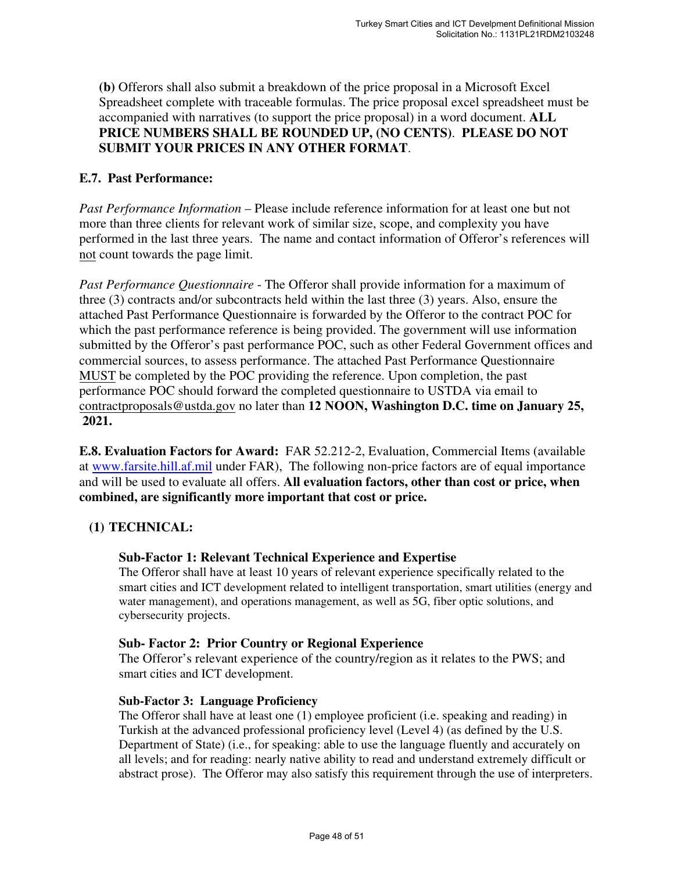**(b)** Offerors shall also submit a breakdown of the price proposal in a Microsoft Excel Spreadsheet complete with traceable formulas. The price proposal excel spreadsheet must be accompanied with narratives (to support the price proposal) in a word document. **ALL PRICE NUMBERS SHALL BE ROUNDED UP, (NO CENTS)**. **PLEASE DO NOT SUBMIT YOUR PRICES IN ANY OTHER FORMAT**.

#### **E.7. Past Performance:**

*Past Performance Information* – Please include reference information for at least one but not more than three clients for relevant work of similar size, scope, and complexity you have performed in the last three years. The name and contact information of Offeror's references will not count towards the page limit.

*Past Performance Questionnaire* - The Offeror shall provide information for a maximum of three (3) contracts and/or subcontracts held within the last three (3) years. Also, ensure the attached Past Performance Questionnaire is forwarded by the Offeror to the contract POC for which the past performance reference is being provided. The government will use information submitted by the Offeror's past performance POC, such as other Federal Government offices and commercial sources, to assess performance. The attached Past Performance Questionnaire MUST be completed by the POC providing the reference. Upon completion, the past performance POC should forward the completed questionnaire to USTDA via email to contractproposals@ustda.gov no later than **12 NOON, Washington D.C. time on January 25, 2021.** 

**E.8. Evaluation Factors for Award:** FAR 52.212-2, Evaluation, Commercial Items (available at www.farsite.hill.af.mil under FAR), The following non-price factors are of equal importance and will be used to evaluate all offers. **All evaluation factors, other than cost or price, when combined, are significantly more important that cost or price.**

# **(1) TECHNICAL:**

#### **Sub-Factor 1: Relevant Technical Experience and Expertise**

The Offeror shall have at least 10 years of relevant experience specifically related to the smart cities and ICT development related to intelligent transportation, smart utilities (energy and water management), and operations management, as well as 5G, fiber optic solutions, and cybersecurity projects.

#### **Sub- Factor 2: Prior Country or Regional Experience**

The Offeror's relevant experience of the country/region as it relates to the PWS; and smart cities and ICT development.

#### **Sub-Factor 3: Language Proficiency**

The Offeror shall have at least one (1) employee proficient (i.e. speaking and reading) in Turkish at the advanced professional proficiency level (Level 4) (as defined by the U.S. Department of State) (i.e., for speaking: able to use the language fluently and accurately on all levels; and for reading: nearly native ability to read and understand extremely difficult or abstract prose). The Offeror may also satisfy this requirement through the use of interpreters.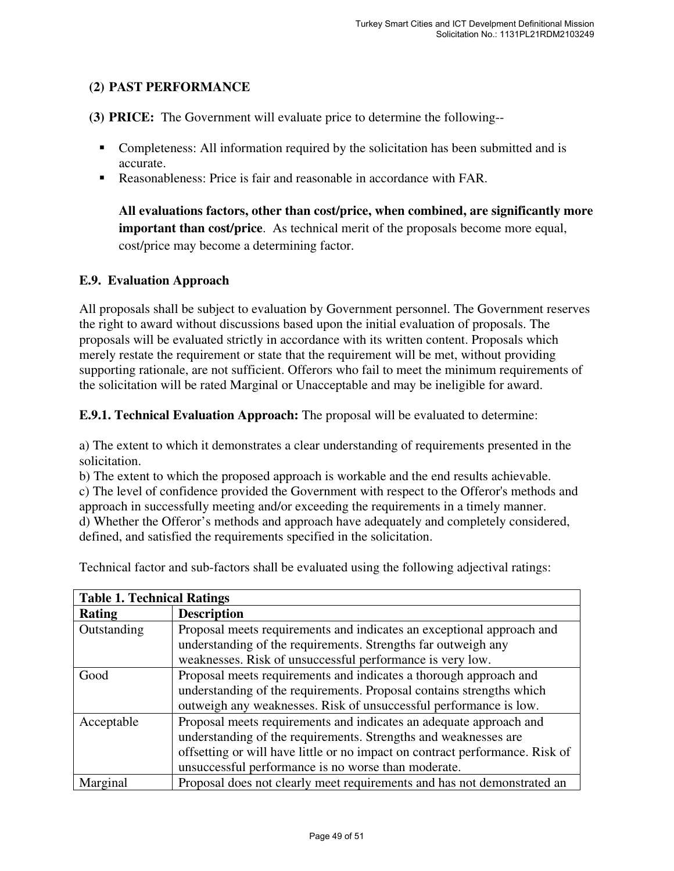# **(2) PAST PERFORMANCE**

- **(3) PRICE:** The Government will evaluate price to determine the following--
	- Completeness: All information required by the solicitation has been submitted and is accurate.
	- Reasonableness: Price is fair and reasonable in accordance with FAR.

**All evaluations factors, other than cost/price, when combined, are significantly more important than cost/price**. As technical merit of the proposals become more equal, cost/price may become a determining factor.

# **E.9. Evaluation Approach**

All proposals shall be subject to evaluation by Government personnel. The Government reserves the right to award without discussions based upon the initial evaluation of proposals. The proposals will be evaluated strictly in accordance with its written content. Proposals which merely restate the requirement or state that the requirement will be met, without providing supporting rationale, are not sufficient. Offerors who fail to meet the minimum requirements of the solicitation will be rated Marginal or Unacceptable and may be ineligible for award.

**E.9.1. Technical Evaluation Approach:** The proposal will be evaluated to determine:

a) The extent to which it demonstrates a clear understanding of requirements presented in the solicitation.

b) The extent to which the proposed approach is workable and the end results achievable. c) The level of confidence provided the Government with respect to the Offeror's methods and approach in successfully meeting and/or exceeding the requirements in a timely manner. d) Whether the Offeror's methods and approach have adequately and completely considered, defined, and satisfied the requirements specified in the solicitation.

| <b>Table 1. Technical Ratings</b> |                                                                                                                                                                                                                                                                              |  |  |  |
|-----------------------------------|------------------------------------------------------------------------------------------------------------------------------------------------------------------------------------------------------------------------------------------------------------------------------|--|--|--|
| <b>Rating</b>                     | <b>Description</b>                                                                                                                                                                                                                                                           |  |  |  |
| Outstanding                       | Proposal meets requirements and indicates an exceptional approach and<br>understanding of the requirements. Strengths far outweigh any                                                                                                                                       |  |  |  |
|                                   | weaknesses. Risk of unsuccessful performance is very low.                                                                                                                                                                                                                    |  |  |  |
| Good                              | Proposal meets requirements and indicates a thorough approach and<br>understanding of the requirements. Proposal contains strengths which                                                                                                                                    |  |  |  |
|                                   | outweigh any weaknesses. Risk of unsuccessful performance is low.                                                                                                                                                                                                            |  |  |  |
| Acceptable                        | Proposal meets requirements and indicates an adequate approach and<br>understanding of the requirements. Strengths and weaknesses are<br>offsetting or will have little or no impact on contract performance. Risk of<br>unsuccessful performance is no worse than moderate. |  |  |  |
| Marginal                          | Proposal does not clearly meet requirements and has not demonstrated an                                                                                                                                                                                                      |  |  |  |

Technical factor and sub-factors shall be evaluated using the following adjectival ratings: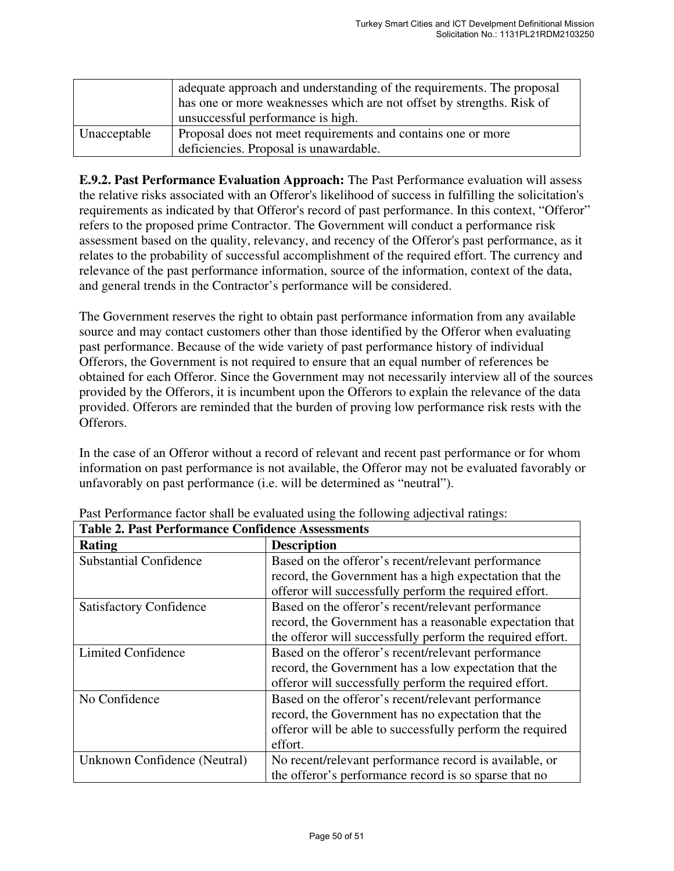|              | adequate approach and understanding of the requirements. The proposal<br>has one or more weaknesses which are not offset by strengths. Risk of<br>unsuccessful performance is high. |  |
|--------------|-------------------------------------------------------------------------------------------------------------------------------------------------------------------------------------|--|
| Unacceptable | Proposal does not meet requirements and contains one or more                                                                                                                        |  |
|              | deficiencies. Proposal is unawardable.                                                                                                                                              |  |

**E.9.2. Past Performance Evaluation Approach:** The Past Performance evaluation will assess the relative risks associated with an Offeror's likelihood of success in fulfilling the solicitation's requirements as indicated by that Offeror's record of past performance. In this context, "Offeror" refers to the proposed prime Contractor. The Government will conduct a performance risk assessment based on the quality, relevancy, and recency of the Offeror's past performance, as it relates to the probability of successful accomplishment of the required effort. The currency and relevance of the past performance information, source of the information, context of the data, and general trends in the Contractor's performance will be considered.

The Government reserves the right to obtain past performance information from any available source and may contact customers other than those identified by the Offeror when evaluating past performance. Because of the wide variety of past performance history of individual Offerors, the Government is not required to ensure that an equal number of references be obtained for each Offeror. Since the Government may not necessarily interview all of the sources provided by the Offerors, it is incumbent upon the Offerors to explain the relevance of the data provided. Offerors are reminded that the burden of proving low performance risk rests with the Offerors.

In the case of an Offeror without a record of relevant and recent past performance or for whom information on past performance is not available, the Offeror may not be evaluated favorably or unfavorably on past performance (i.e. will be determined as "neutral").

| <b>Table 2. Past Performance Confidence Assessments</b> |                                                            |  |  |  |
|---------------------------------------------------------|------------------------------------------------------------|--|--|--|
| <b>Rating</b>                                           | <b>Description</b>                                         |  |  |  |
| <b>Substantial Confidence</b>                           | Based on the offeror's recent/relevant performance         |  |  |  |
|                                                         | record, the Government has a high expectation that the     |  |  |  |
|                                                         | offeror will successfully perform the required effort.     |  |  |  |
| <b>Satisfactory Confidence</b>                          | Based on the offeror's recent/relevant performance         |  |  |  |
|                                                         | record, the Government has a reasonable expectation that   |  |  |  |
|                                                         | the offeror will successfully perform the required effort. |  |  |  |
| Limited Confidence                                      | Based on the offeror's recent/relevant performance         |  |  |  |
|                                                         | record, the Government has a low expectation that the      |  |  |  |
|                                                         | offeror will successfully perform the required effort.     |  |  |  |
| No Confidence                                           | Based on the offeror's recent/relevant performance         |  |  |  |
|                                                         | record, the Government has no expectation that the         |  |  |  |
|                                                         | offeror will be able to successfully perform the required  |  |  |  |
|                                                         | effort.                                                    |  |  |  |
| Unknown Confidence (Neutral)                            | No recent/relevant performance record is available, or     |  |  |  |
|                                                         | the offeror's performance record is so sparse that no      |  |  |  |

Past Performance factor shall be evaluated using the following adjectival ratings: